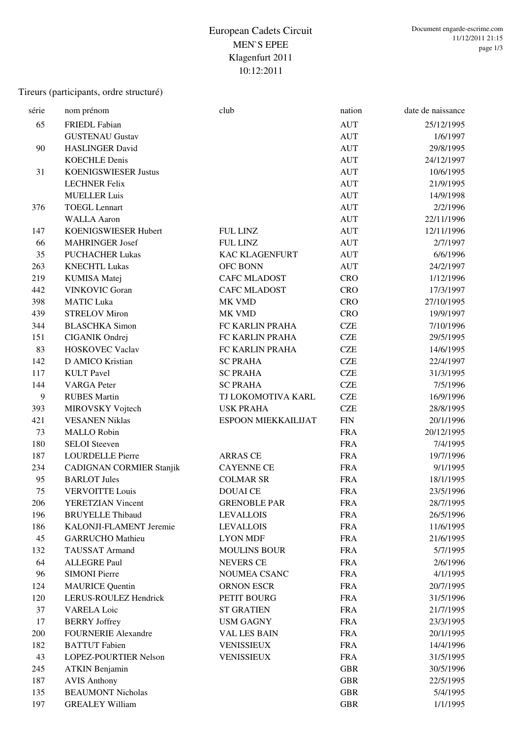### Tireurs (participants, ordre structuré)

| série            | nom prénom                      | club                | nation      | date de naissance |
|------------------|---------------------------------|---------------------|-------------|-------------------|
| 65               | <b>FRIEDL Fabian</b>            |                     | <b>AUT</b>  | 25/12/1995        |
|                  | <b>GUSTENAU Gustav</b>          |                     | <b>AUT</b>  | 1/6/1997          |
| 90               | <b>HASLINGER David</b>          |                     | <b>AUT</b>  | 29/8/1995         |
|                  | <b>KOECHLE Denis</b>            |                     | <b>AUT</b>  | 24/12/1997        |
| 31               | <b>KOENIGSWIESER Justus</b>     |                     | <b>AUT</b>  | 10/6/1995         |
|                  | <b>LECHNER Felix</b>            |                     | <b>AUT</b>  | 21/9/1995         |
|                  | <b>MUELLER Luis</b>             |                     | <b>AUT</b>  | 14/9/1998         |
| 376              | <b>TOEGL Lennart</b>            |                     | <b>AUT</b>  | 2/2/1996          |
|                  | <b>WALLA Aaron</b>              |                     | <b>AUT</b>  | 22/11/1996        |
| 147              | KOENIGSWIESER Hubert            | <b>FUL LINZ</b>     | <b>AUT</b>  | 12/11/1996        |
| 66               | <b>MAHRINGER Josef</b>          | <b>FUL LINZ</b>     | <b>AUT</b>  | 2/7/1997          |
| 35               | <b>PUCHACHER Lukas</b>          | KAC KLAGENFURT      | <b>AUT</b>  | 6/6/1996          |
| 263              | <b>KNECHTL Lukas</b>            | OFC BONN            | <b>AUT</b>  | 24/2/1997         |
| 219              | <b>KUMISA</b> Matej             | <b>CAFC MLADOST</b> | <b>CRO</b>  | 1/12/1996         |
| 442              | <b>VINKOVIC Goran</b>           | <b>CAFC MLADOST</b> | <b>CRO</b>  | 17/3/1997         |
| 398              | <b>MATIC Luka</b>               | MK VMD              | <b>CRO</b>  | 27/10/1995        |
| 439              | <b>STRELOV Miron</b>            | MK VMD              | <b>CRO</b>  | 19/9/1997         |
| 344              | <b>BLASCHKA</b> Simon           | FC KARLIN PRAHA     | <b>CZE</b>  | 7/10/1996         |
| 151              | CIGANIK Ondrej                  | FC KARLIN PRAHA     | <b>CZE</b>  | 29/5/1995         |
| 83               | <b>HOSKOVEC Vaclav</b>          | FC KARLIN PRAHA     | <b>CZE</b>  | 14/6/1995         |
| 142              | D AMICO Kristian                | <b>SC PRAHA</b>     | <b>CZE</b>  | 22/4/1997         |
| 117              | <b>KULT</b> Pavel               | <b>SC PRAHA</b>     | <b>CZE</b>  | 31/3/1995         |
| 144              | <b>VARGA</b> Peter              | <b>SC PRAHA</b>     | <b>CZE</b>  | 7/5/1996          |
| $\boldsymbol{9}$ | <b>RUBES Martin</b>             | TJ LOKOMOTIVA KARL  | <b>CZE</b>  | 16/9/1996         |
| 393              | MIROVSKY Vojtech                | <b>USK PRAHA</b>    | <b>CZE</b>  | 28/8/1995         |
| 421              | <b>VESANEN Niklas</b>           | ESPOON MIEKKAILIJAT | ${\rm FIN}$ | 20/1/1996         |
| 73               | <b>MALLO Robin</b>              |                     | <b>FRA</b>  | 20/12/1995        |
| 180              | <b>SELOI</b> Steeven            |                     | <b>FRA</b>  | 7/4/1995          |
| 187              | <b>LOURDELLE Pierre</b>         | <b>ARRAS CE</b>     | <b>FRA</b>  | 19/7/1996         |
| 234              | <b>CADIGNAN CORMIER Stanjik</b> | <b>CAYENNE CE</b>   | <b>FRA</b>  | 9/1/1995          |
| 95               | <b>BARLOT Jules</b>             | <b>COLMAR SR</b>    | <b>FRA</b>  | 18/1/1995         |
| 75               | <b>VERVOITTE Louis</b>          | <b>DOUAI CE</b>     | <b>FRA</b>  | 23/5/1996         |
| 206              | <b>YERETZIAN Vincent</b>        | <b>GRENOBLE PAR</b> | <b>FRA</b>  | 28/7/1995         |
| 196              | <b>BRUYELLE Thibaud</b>         | <b>LEVALLOIS</b>    | <b>FRA</b>  | 26/5/1996         |
| 186              | KALONJI-FLAMENT Jeremie         | <b>LEVALLOIS</b>    | <b>FRA</b>  | 11/6/1995         |
| 45               | <b>GARRUCHO</b> Mathieu         | <b>LYON MDF</b>     | <b>FRA</b>  | 21/6/1995         |
| 132              | <b>TAUSSAT Armand</b>           | <b>MOULINS BOUR</b> | <b>FRA</b>  | 5/7/1995          |
| 64               | <b>ALLEGRE Paul</b>             | <b>NEVERS CE</b>    | <b>FRA</b>  | 2/6/1996          |
| 96               | <b>SIMONI Pierre</b>            | NOUMEA CSANC        | <b>FRA</b>  | 4/1/1995          |
| 124              | <b>MAURICE Quentin</b>          | ORNON ESCR          | <b>FRA</b>  | 20/7/1995         |
| 120              | <b>LERUS-ROULEZ Hendrick</b>    | PETIT BOURG         | <b>FRA</b>  | 31/5/1996         |
| 37               | <b>VARELA Loic</b>              | <b>ST GRATIEN</b>   | <b>FRA</b>  | 21/7/1995         |
| 17               | <b>BERRY</b> Joffrey            | <b>USM GAGNY</b>    | <b>FRA</b>  | 23/3/1995         |
| 200              | <b>FOURNERIE Alexandre</b>      | <b>VAL LES BAIN</b> | <b>FRA</b>  | 20/1/1995         |
| 182              | <b>BATTUT</b> Fabien            | <b>VENISSIEUX</b>   | <b>FRA</b>  | 14/4/1996         |
| 43               | LOPEZ-POURTIER Nelson           | <b>VENISSIEUX</b>   | <b>FRA</b>  | 31/5/1995         |
| 245              | <b>ATKIN Benjamin</b>           |                     | <b>GBR</b>  | 30/5/1996         |
| 187              | <b>AVIS Anthony</b>             |                     | <b>GBR</b>  | 22/5/1995         |
| 135              | <b>BEAUMONT Nicholas</b>        |                     | <b>GBR</b>  | 5/4/1995          |
| 197              | <b>GREALEY William</b>          |                     | <b>GBR</b>  | 1/1/1995          |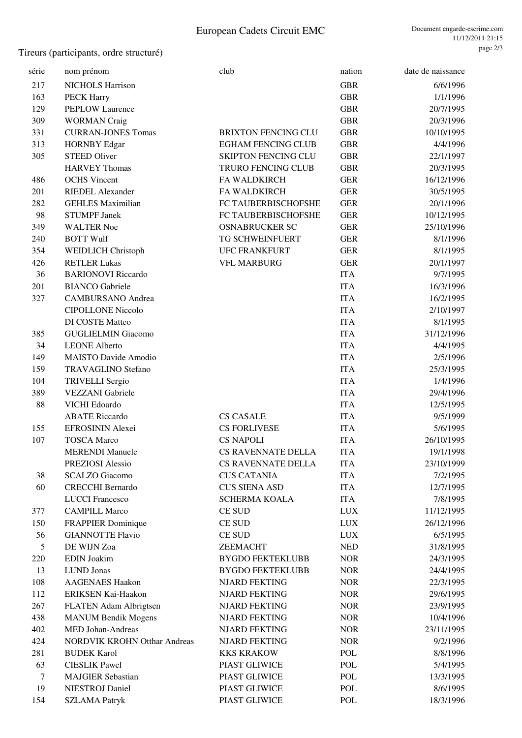Tireurs (participants, ordre structuré)

| série  | nom prénom                          | club                       | nation     | date de naissance |
|--------|-------------------------------------|----------------------------|------------|-------------------|
| 217    | <b>NICHOLS Harrison</b>             |                            | <b>GBR</b> | 6/6/1996          |
| 163    | <b>PECK Harry</b>                   |                            | <b>GBR</b> | 1/1/1996          |
| 129    | <b>PEPLOW Laurence</b>              |                            | <b>GBR</b> | 20/7/1995         |
| 309    | <b>WORMAN</b> Craig                 |                            | <b>GBR</b> | 20/3/1996         |
| 331    | <b>CURRAN-JONES Tomas</b>           | <b>BRIXTON FENCING CLU</b> | <b>GBR</b> | 10/10/1995        |
| 313    | <b>HORNBY Edgar</b>                 | <b>EGHAM FENCING CLUB</b>  | <b>GBR</b> | 4/4/1996          |
| 305    | <b>STEED Oliver</b>                 | <b>SKIPTON FENCING CLU</b> | <b>GBR</b> | 22/1/1997         |
|        | <b>HARVEY Thomas</b>                | TRURO FENCING CLUB         | <b>GBR</b> | 20/3/1995         |
| 486    | <b>OCHS</b> Vincent                 | FA WALDKIRCH               | <b>GER</b> | 16/12/1996        |
| 201    | <b>RIEDEL Alexander</b>             | FA WALDKIRCH               | <b>GER</b> | 30/5/1995         |
| 282    | <b>GEHLES Maximilian</b>            | FC TAUBERBISCHOFSHE        | <b>GER</b> | 20/1/1996         |
| 98     | <b>STUMPF Janek</b>                 | FC TAUBERBISCHOFSHE        | <b>GER</b> | 10/12/1995        |
| 349    | <b>WALTER Noe</b>                   | <b>OSNABRUCKER SC</b>      | <b>GER</b> | 25/10/1996        |
| 240    | <b>BOTT Wulf</b>                    | TG SCHWEINFUERT            | <b>GER</b> | 8/1/1996          |
| 354    | <b>WEIDLICH Christoph</b>           | <b>UFC FRANKFURT</b>       | <b>GER</b> | 8/1/1995          |
| 426    | <b>RETLER Lukas</b>                 | <b>VFL MARBURG</b>         | <b>GER</b> | 20/1/1997         |
| 36     | <b>BARIONOVI Riccardo</b>           |                            | <b>ITA</b> | 9/7/1995          |
| 201    | <b>BIANCO</b> Gabriele              |                            | <b>ITA</b> | 16/3/1996         |
| 327    | <b>CAMBURSANO</b> Andrea            |                            | <b>ITA</b> | 16/2/1995         |
|        | <b>CIPOLLONE Niccolo</b>            |                            | <b>ITA</b> | 2/10/1997         |
|        | DI COSTE Matteo                     |                            | <b>ITA</b> | 8/1/1995          |
| 385    | <b>GUGLIELMIN Giacomo</b>           |                            | <b>ITA</b> | 31/12/1996        |
| 34     | <b>LEONE Alberto</b>                |                            | <b>ITA</b> | 4/4/1995          |
| 149    | <b>MAISTO Davide Amodio</b>         |                            | <b>ITA</b> | 2/5/1996          |
| 159    | <b>TRAVAGLINO Stefano</b>           |                            | <b>ITA</b> | 25/3/1995         |
| 104    | <b>TRIVELLI Sergio</b>              |                            | <b>ITA</b> | 1/4/1996          |
| 389    | <b>VEZZANI</b> Gabriele             |                            | <b>ITA</b> | 29/4/1996         |
| 88     | VICHI Edoardo                       |                            | <b>ITA</b> | 12/5/1995         |
|        | <b>ABATE Riccardo</b>               | <b>CS CASALE</b>           | <b>ITA</b> | 9/5/1999          |
| 155    | EFROSININ Alexei                    | <b>CS FORLIVESE</b>        | <b>ITA</b> | 5/6/1995          |
| 107    | <b>TOSCA</b> Marco                  | <b>CS NAPOLI</b>           | <b>ITA</b> | 26/10/1995        |
|        | <b>MERENDI Manuele</b>              | <b>CS RAVENNATE DELLA</b>  | <b>ITA</b> | 19/1/1998         |
|        | PREZIOSI Alessio                    | <b>CS RAVENNATE DELLA</b>  | <b>ITA</b> | 23/10/1999        |
| 38     | <b>SCALZO</b> Giacomo               | <b>CUS CATANIA</b>         | <b>ITA</b> | 7/2/1995          |
| 60     | <b>CRECCHI Bernardo</b>             | <b>CUS SIENA ASD</b>       | <b>ITA</b> | 12/7/1995         |
|        | <b>LUCCI</b> Francesco              | <b>SCHERMA KOALA</b>       | <b>ITA</b> | 7/8/1995          |
| 377    | <b>CAMPILL Marco</b>                | <b>CE SUD</b>              | <b>LUX</b> | 11/12/1995        |
| 150    | <b>FRAPPIER Dominique</b>           | <b>CE SUD</b>              | <b>LUX</b> | 26/12/1996        |
| 56     | <b>GIANNOTTE Flavio</b>             | <b>CE SUD</b>              | <b>LUX</b> | 6/5/1995          |
| 5      | DE WIJN Zoa                         | <b>ZEEMACHT</b>            | <b>NED</b> | 31/8/1995         |
| 220    | <b>EDIN</b> Joakim                  | <b>BYGDO FEKTEKLUBB</b>    | <b>NOR</b> | 24/3/1995         |
| 13     | <b>LUND</b> Jonas                   | <b>BYGDO FEKTEKLUBB</b>    | <b>NOR</b> | 24/4/1995         |
| 108    | <b>AAGENAES Haakon</b>              | <b>NJARD FEKTING</b>       | <b>NOR</b> | 22/3/1995         |
| 112    | ERIKSEN Kai-Haakon                  | <b>NJARD FEKTING</b>       | <b>NOR</b> | 29/6/1995         |
| 267    | FLATEN Adam Albrigtsen              | NJARD FEKTING              | <b>NOR</b> | 23/9/1995         |
| 438    | <b>MANUM Bendik Mogens</b>          | <b>NJARD FEKTING</b>       | <b>NOR</b> | 10/4/1996         |
| 402    | <b>MED Johan-Andreas</b>            | NJARD FEKTING              | <b>NOR</b> | 23/11/1995        |
| 424    | <b>NORDVIK KROHN Otthar Andreas</b> | NJARD FEKTING              | <b>NOR</b> | 9/2/1996          |
| 281    | <b>BUDEK Karol</b>                  | <b>KKS KRAKOW</b>          | POL        | 8/8/1996          |
| 63     | <b>CIESLIK Pawel</b>                | PIAST GLIWICE              | POL        | 5/4/1995          |
| $\tau$ | <b>MAJGIER Sebastian</b>            | PIAST GLIWICE              | POL        | 13/3/1995         |
| 19     | <b>NIESTROJ</b> Daniel              | PIAST GLIWICE              | POL        | 8/6/1995          |
| 154    | <b>SZLAMA Patryk</b>                | PIAST GLIWICE              | POL        | 18/3/1996         |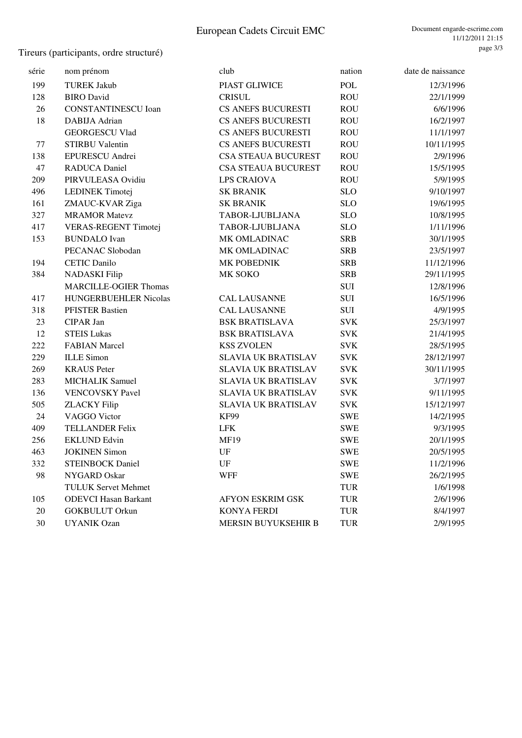Tireurs (participants, ordre structuré)

| série | nom prénom                   | club                       | nation     | date de naissance |
|-------|------------------------------|----------------------------|------------|-------------------|
| 199   | <b>TUREK Jakub</b>           | PIAST GLIWICE              | POL        | 12/3/1996         |
| 128   | <b>BIRO</b> David            | <b>CRISUL</b>              | <b>ROU</b> | 22/1/1999         |
| 26    | <b>CONSTANTINESCU Ioan</b>   | <b>CS ANEFS BUCURESTI</b>  | <b>ROU</b> | 6/6/1996          |
| 18    | DABIJA Adrian                | <b>CS ANEFS BUCURESTI</b>  | <b>ROU</b> | 16/2/1997         |
|       | <b>GEORGESCU Vlad</b>        | CS ANEFS BUCURESTI         | <b>ROU</b> | 11/1/1997         |
| 77    | <b>STIRBU Valentin</b>       | CS ANEFS BUCURESTI         | <b>ROU</b> | 10/11/1995        |
| 138   | <b>EPURESCU Andrei</b>       | <b>CSA STEAUA BUCUREST</b> | <b>ROU</b> | 2/9/1996          |
| 47    | <b>RADUCA Daniel</b>         | <b>CSA STEAUA BUCUREST</b> | <b>ROU</b> | 15/5/1995         |
| 209   | PIRVULEASA Ovidiu            | <b>LPS CRAIOVA</b>         | <b>ROU</b> | 5/9/1995          |
| 496   | <b>LEDINEK Timotej</b>       | <b>SK BRANIK</b>           | <b>SLO</b> | 9/10/1997         |
| 161   | ZMAUC-KVAR Ziga              | <b>SK BRANIK</b>           | <b>SLO</b> | 19/6/1995         |
| 327   | <b>MRAMOR Matevz</b>         | TABOR-LJUBLJANA            | <b>SLO</b> | 10/8/1995         |
| 417   | <b>VERAS-REGENT Timotej</b>  | TABOR-LJUBLJANA            | <b>SLO</b> | 1/11/1996         |
| 153   | <b>BUNDALO</b> Ivan          | MK OMLADINAC               | <b>SRB</b> | 30/1/1995         |
|       | PECANAC Slobodan             | MK OMLADINAC               | <b>SRB</b> | 23/5/1997         |
| 194   | <b>CETIC Danilo</b>          | MK POBEDNIK                | <b>SRB</b> | 11/12/1996        |
| 384   | <b>NADASKI Filip</b>         | MK SOKO                    | <b>SRB</b> | 29/11/1995        |
|       | <b>MARCILLE-OGIER Thomas</b> |                            | SUI        | 12/8/1996         |
| 417   | HUNGERBUEHLER Nicolas        | <b>CAL LAUSANNE</b>        | SUI        | 16/5/1996         |
| 318   | <b>PFISTER Bastien</b>       | <b>CAL LAUSANNE</b>        | SUI        | 4/9/1995          |
| 23    | <b>CIPAR Jan</b>             | <b>BSK BRATISLAVA</b>      | <b>SVK</b> | 25/3/1997         |
| 12    | <b>STEIS Lukas</b>           | <b>BSK BRATISLAVA</b>      | <b>SVK</b> | 21/4/1995         |
| 222   | <b>FABIAN Marcel</b>         | <b>KSS ZVOLEN</b>          | <b>SVK</b> | 28/5/1995         |
| 229   | <b>ILLE Simon</b>            | SLAVIA UK BRATISLAV        | <b>SVK</b> | 28/12/1997        |
| 269   | <b>KRAUS</b> Peter           | SLAVIA UK BRATISLAV        | <b>SVK</b> | 30/11/1995        |
| 283   | MICHALIK Samuel              | <b>SLAVIA UK BRATISLAV</b> | <b>SVK</b> | 3/7/1997          |
| 136   | <b>VENCOVSKY Pavel</b>       | SLAVIA UK BRATISLAV        | <b>SVK</b> | 9/11/1995         |
| 505   | <b>ZLACKY Filip</b>          | <b>SLAVIA UK BRATISLAV</b> | <b>SVK</b> | 15/12/1997        |
| 24    | VAGGO Victor                 | <b>KF99</b>                | <b>SWE</b> | 14/2/1995         |
| 409   | <b>TELLANDER Felix</b>       | <b>LFK</b>                 | <b>SWE</b> | 9/3/1995          |
| 256   | <b>EKLUND Edvin</b>          | <b>MF19</b>                | <b>SWE</b> | 20/1/1995         |
| 463   | <b>JOKINEN Simon</b>         | $\mathbf{U}\mathbf{F}$     | <b>SWE</b> | 20/5/1995         |
| 332   | <b>STEINBOCK Daniel</b>      | UF                         | <b>SWE</b> | 11/2/1996         |
| 98    | NYGARD Oskar                 | <b>WFF</b>                 | <b>SWE</b> | 26/2/1995         |
|       | <b>TULUK Servet Mehmet</b>   |                            | <b>TUR</b> | 1/6/1998          |
| 105   | <b>ODEVCI Hasan Barkant</b>  | <b>AFYON ESKRIM GSK</b>    | <b>TUR</b> | 2/6/1996          |
| 20    | <b>GOKBULUT Orkun</b>        | <b>KONYA FERDI</b>         | TUR        | 8/4/1997          |
| 30    | <b>UYANIK Ozan</b>           | <b>MERSIN BUYUKSEHIR B</b> | <b>TUR</b> | 2/9/1995          |
|       |                              |                            |            |                   |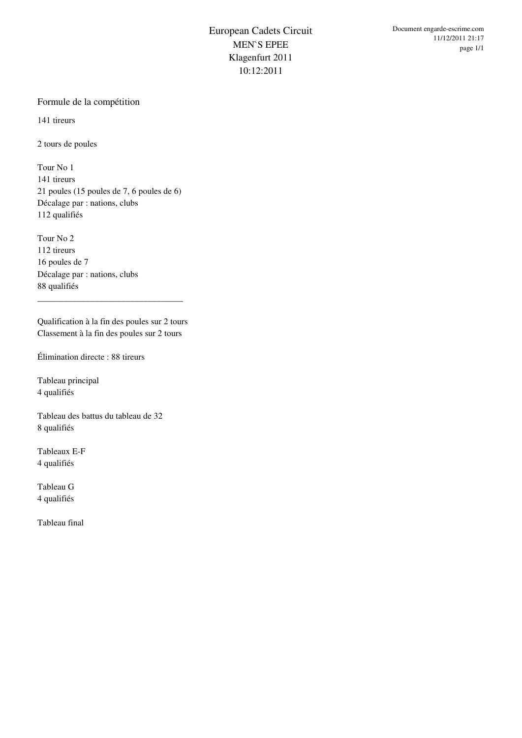#### Formule de la compétition

141 tireurs

2 tours de poules

Tour No 1 141 tireurs 21 poules (15 poules de 7, 6 poules de 6) Décalage par : nations, clubs 112 qualifiés

Tour No 2 112 tireurs 16 poules de 7 Décalage par : nations, clubs 88 qualifiés

Qualification à la fin des poules sur 2 tours Classement à la fin des poules sur 2 tours

\_\_\_\_\_\_\_\_\_\_\_\_\_\_\_\_\_\_\_\_\_\_\_\_\_\_\_\_\_\_\_\_\_

Élimination directe : 88 tireurs

Tableau principal 4 qualifiés

Tableau des battus du tableau de 32 8 qualifiés

Tableaux E-F 4 qualifiés

Tableau G 4 qualifiés

Tableau final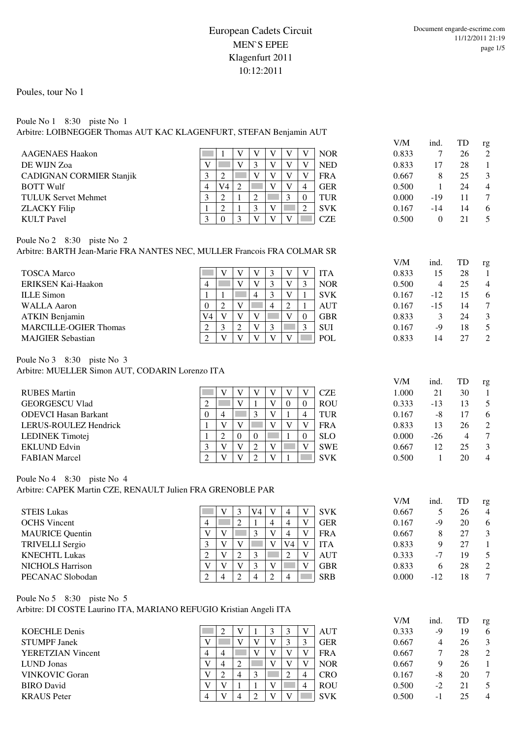V/M ind. TD rg

 $V/M$  ind. TD

#### Poules, tour No 1

# Poule No 1 8:30 piste No 1

Arbitre: LOIBNEGGER Thomas AUT KAC KLAGENFURT, STEFAN Benjamin AUT

| <b>AAGENAES Haakon</b>          |        | V |   | $\mathbf{V}$   | <b>NOR</b> | 0.833 |       | 26 | 2              |
|---------------------------------|--------|---|---|----------------|------------|-------|-------|----|----------------|
| DE WIJN Zoa                     |        |   |   |                | <b>NED</b> | 0.833 | 17    | 28 |                |
| <b>CADIGNAN CORMIER Stanjik</b> |        | V |   | X)             | <b>FRA</b> | 0.667 |       | 25 | 3              |
| <b>BOTT Wulf</b>                | V4     |   |   | $\overline{4}$ | <b>GER</b> | 0.500 |       | 24 | $\overline{4}$ |
| <b>TULUK Servet Mehmet</b>      | ∸      |   |   |                | <b>TUR</b> | 0.000 | $-19$ | 11 | 7              |
| <b>ZLACKY Filip</b>             | ി<br>∸ |   | V |                | <b>SVK</b> | 0.167 | -14   | 14 | 6              |
| <b>KULT</b> Pavel               |        | V |   |                | <b>CZE</b> | 0.500 |       | 21 |                |
|                                 |        |   |   |                |            |       |       |    |                |

Poule No 2 8:30 piste No 2 Arbitre: BARTH Jean-Marie FRA NANTES NEC, MULLER Francois FRA COLMAR SR

|                              |                |              |   |          |   |          |            | V/M   | ind.  | TD | rg             |
|------------------------------|----------------|--------------|---|----------|---|----------|------------|-------|-------|----|----------------|
| <b>TOSCA Marco</b>           |                | $\mathbf{V}$ | V | 3        |   |          | <b>ITA</b> | 0.833 | 15    | 28 |                |
| <b>ERIKSEN Kai-Haakon</b>    | $\overline{4}$ | V            | V | 3        |   |          | <b>NOR</b> | 0.500 | 4     | 25 | $\overline{4}$ |
| <b>ILLE Simon</b>            |                |              | 4 | 3        |   |          | <b>SVK</b> | 0.167 | $-12$ | 15 | -6             |
| <b>WALLA Aaron</b>           |                |              |   | 4        | ∍ | 1        | <b>AUT</b> | 0.167 | $-15$ | 14 | $\tau$         |
| <b>ATKIN Benjamin</b>        | V4             | $\mathbf{V}$ | V |          |   | $\Omega$ | <b>GBR</b> | 0.833 |       | 24 | 3              |
| <b>MARCILLE-OGIER Thomas</b> |                | ◠            | V | 3        |   | 3        | <b>SUI</b> | 0.167 | $-9$  | 18 | 5              |
| <b>MAJGIER Sebastian</b>     |                | V)           |   | $\bf{T}$ |   |          | <b>POL</b> | 0.833 | 14    | 27 |                |

Poule No 3 8:30 piste No 3 Arbitre: MUELLER Simon AUT, CODARIN Lorenzo ITA

|                             |        |                |    |   |              |              |            | V/M   | ind.  | TD | rg             |
|-----------------------------|--------|----------------|----|---|--------------|--------------|------------|-------|-------|----|----------------|
| <b>RUBES Martin</b>         |        |                |    |   | $\mathbf{V}$ | $\mathbf{V}$ | <b>CZE</b> | 1.000 | 21    | 30 |                |
| <b>GEORGESCU Vlad</b>       |        |                |    | V | $\theta$     | $\Omega$     | <b>ROU</b> | 0.333 | $-13$ | 13 | 5              |
| <b>ODEVCI Hasan Barkant</b> |        | $\overline{4}$ |    | V |              | 4            | <b>TUR</b> | 0.167 | -8    | 17 | 6              |
| LERUS-ROULEZ Hendrick       |        | $\mathbf{V}$   |    | V |              | $\mathbf{V}$ | <b>FRA</b> | 0.833 | 13    | 26 | $2^{1}$        |
| LEDINEK Timotej             |        | 2              |    |   |              | 0            | <b>SLO</b> | 0.000 | $-26$ | 4  |                |
| <b>EKLUND Edvin</b>         | $\sim$ | $\mathbf{V}$   | v  | V |              | V            | <b>SWE</b> | 0.667 | 12    | 25 | $\mathcal{E}$  |
| <b>FABIAN Marcel</b>        | ◠      | $\mathbf{V}$   | V) |   |              |              | <b>SVK</b> | 0.500 |       | 20 | $\overline{4}$ |

Poule No 4 8:30 piste No 4

Arbitre: CAPEK Martin CZE, RENAULT Julien FRA GRENOBLE PAR

|                         |                   |              |   |                |              |                |            | V/M   | ind.  | TD | rg             |
|-------------------------|-------------------|--------------|---|----------------|--------------|----------------|------------|-------|-------|----|----------------|
| <b>STEIS Lukas</b>      |                   |              |   | V4             | v            | 4              | <b>SVK</b> | 0.667 |       | 26 | $\overline{4}$ |
| <b>OCHS</b> Vincent     | 4                 |              |   |                | 4            | $\overline{4}$ | <b>GER</b> | 0.167 | -9    | 20 | -6             |
| <b>MAURICE Quentin</b>  |                   | V            |   |                | $\mathbf{V}$ | $\overline{4}$ | <b>FRA</b> | 0.667 | 8     | 27 | 3              |
| <b>TRIVELLI Sergio</b>  | $\mathbf{a}$<br>J | $\mathbf{V}$ |   |                | V            | V4             | <b>ITA</b> | 0.833 | 9     | 27 |                |
| <b>KNECHTL Lukas</b>    | ◠                 | V            |   |                |              | ∠              | <b>AUT</b> | 0.333 | -7    | 19 | .5             |
| <b>NICHOLS Harrison</b> |                   | $\mathbf{V}$ | v |                | V            |                | <b>GBR</b> | 0.833 | 6     | 28 | 2              |
| PECANAC Slobodan        | ◠                 | 4            |   | $\overline{4}$ | ◠            | $\overline{4}$ | <b>SRB</b> | 0.000 | $-12$ | 18 |                |

Poule No 5 8:30 piste No 5

Arbitre: DI COSTE Laurino ITA, MARIANO REFUGIO Kristian Angeli ITA

|                          |              |                |   |   |   |   |            | V / IVI | mu.  | ΙIJ | 1g             |
|--------------------------|--------------|----------------|---|---|---|---|------------|---------|------|-----|----------------|
| <b>KOECHLE Denis</b>     |              | ∍              |   |   |   |   | <b>AUT</b> | 0.333   | -9   | 19  | 6              |
| <b>STUMPF Janek</b>      |              |                |   | V |   |   | <b>GER</b> | 0.667   | 4    | 26  | 3              |
| <b>YERETZIAN Vincent</b> | 4            |                |   | V |   |   | <b>FRA</b> | 0.667   |      | 28  | 2              |
| LUND Jonas               |              |                |   |   |   |   | <b>NOR</b> | 0.667   |      | 26  |                |
| <b>VINKOVIC Goran</b>    | V            | $\bigcap$<br>∠ | 4 | 3 | 2 | 4 | <b>CRO</b> | 0.167   | -8   | 20  | 7              |
| <b>BIRO</b> David        | $\mathbf{V}$ | $\mathbf{V}$   |   |   |   |   | <b>ROU</b> | 0.500   | $-2$ | 21  |                |
| <b>KRAUS</b> Peter       | 4            | $\mathbf{V}$   | 4 |   |   |   | <b>SVK</b> | 0.500   | - 1  | 25  | $\overline{4}$ |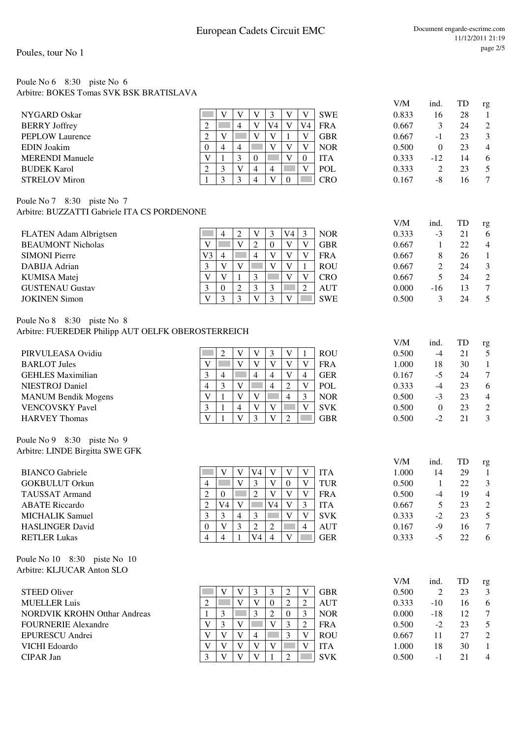#### Poule No 6 8:30 piste No 6 Arbitre: BOKES Tomas SVK BSK BRATISLAVA

|                                             |                |                |                |                |              |          |          |            | V/M   | ind.     | TD | rg             |
|---------------------------------------------|----------------|----------------|----------------|----------------|--------------|----------|----------|------------|-------|----------|----|----------------|
| NYGARD Oskar                                |                | V              | V              |                | 3            | V        | V        | <b>SWE</b> | 0.833 | 16       | 28 |                |
| <b>BERRY</b> Joffrey                        | 2              |                | 4              | V              | V4           | V        | V4       | <b>FRA</b> | 0.667 | 3        | 24 | 2              |
| <b>PEPLOW Laurence</b>                      | 2              | V              |                | V              | V            |          | V        | <b>GBR</b> | 0.667 | $-1$     | 23 | 3              |
| <b>EDIN</b> Joakim                          | $\Omega$       | $\overline{4}$ | 4              |                | V            | V        | V        | <b>NOR</b> | 0.500 | $\Omega$ | 23 | 4              |
| <b>MERENDI Manuele</b>                      | V              |                | 3              | $\Omega$       |              | V        | $\theta$ | <b>ITA</b> | 0.333 | $-12$    | 14 | 6              |
| <b>BUDEK Karol</b>                          | 2              | 3              | $\mathbf{V}$   | 4              | 4            |          | V        | POL        | 0.333 | 2        | 23 | 5              |
| <b>STRELOV Miron</b>                        |                | 3              | 3              | 4              | V            | $\Omega$ |          | <b>CRO</b> | 0.167 | $-8$     | 16 | 7              |
| Poule No 7 8:30 piste No 7                  |                |                |                |                |              |          |          |            |       |          |    |                |
| Arbitre: BUZZATTI Gabriele ITA CS PORDENONE |                |                |                |                |              |          |          |            |       |          |    |                |
|                                             |                |                |                |                |              |          |          |            | V/M   | ind.     | TD | rg             |
| <b>FLATEN Adam Albrigtsen</b>               |                | 4              | $\overline{2}$ | V              | 3            | $V_4$    | 3        | <b>NOR</b> | 0.333 | $-3$     | 21 | 6              |
| <b>BEAUMONT Nicholas</b>                    | V              |                | V              | 2              | $\mathbf{0}$ | V        | V        | <b>GBR</b> | 0.667 |          | 22 | $\overline{4}$ |
| <b>SIMONI</b> Pierre                        | V <sub>3</sub> | $\overline{4}$ |                | $\overline{4}$ | V            | V        | V        | <b>FRA</b> | 0.667 | 8        | 26 |                |
| DABIJA Adrian                               | 3              | V              | V              |                | V            | V        |          | <b>ROU</b> | 0.667 | 2        | 24 | 3              |
| <b>KUMISA Matej</b>                         | V              | V              |                | 3              |              | V        | V        | <b>CRO</b> | 0.667 | 5        | 24 | 2              |

| KUMISA Matej           | $\mathbf{V}$ | $\mathbf{v}$             |                |               |             | $\mathbf{V}$ |        | <b>CRO</b> | 0.667 |     | $\sim$<br>24 |                          |
|------------------------|--------------|--------------------------|----------------|---------------|-------------|--------------|--------|------------|-------|-----|--------------|--------------------------|
| <b>GUSTENAU Gustav</b> | ັ            | $\mathbf{0}$             | $\overline{ }$ | $\rightarrow$ | $\sim$<br>ັ |              | ⌒<br>∼ | <b>AUT</b> | 0.000 | -16 |              |                          |
| <b>JOKINEN Simon</b>   | $\mathbf{v}$ | $\overline{\phantom{0}}$ | ↗              | $\mathbf{v}$  | $\sim$      | $\mathbf{V}$ |        | <b>SWE</b> | 0.500 |     | 24           | $\overline{\phantom{0}}$ |
|                        |              |                          |                |               |             |              |        |            |       |     |              |                          |

#### Poule No 8 8:30 piste No 8 Arbitre: FUEREDER Philipp AUT OELFK OBEROSTERREICH

|                |                |                |                |                |                |                |            | V I TAT | ուս.     | ⊥  | 15 |
|----------------|----------------|----------------|----------------|----------------|----------------|----------------|------------|---------|----------|----|----|
|                | $\overline{2}$ | V              | V              | 3              | V              | 1              | <b>ROU</b> | 0.500   | $-4$     | 21 | 5  |
| V              |                | $\mathbf{V}$   | V              | $\mathbf{V}$   | V              | V              | <b>FRA</b> | 1.000   | 18       | 30 |    |
| 3              | $\overline{4}$ |                | 4              | 4              | V              | 4              | <b>GER</b> | 0.167   | $-5$     | 24 | 7  |
| $\overline{4}$ | 3              | V              |                | $\overline{4}$ | $\overline{2}$ | V              | POL        | 0.333   | $-4$     | 23 | 6  |
| V              |                | V              | V              |                | 4              | 3              | <b>NOR</b> | 0.500   | $-3$     | 23 | 4  |
| 3              |                | $\overline{4}$ | V              | V              |                | V              | <b>SVK</b> | 0.500   | $\theta$ | 23 | 2  |
| V              |                | V              | 3              | V              | $\overline{2}$ |                | <b>GBR</b> | 0.500   | $-2$     | 21 | 3  |
|                |                |                |                |                |                |                |            |         |          |    |    |
|                |                |                |                |                |                |                |            |         |          |    |    |
|                |                |                |                |                |                |                |            | V/M     | ind.     | TD | rg |
|                | V              | V              | V <sub>4</sub> | V              | V              | V              | <b>ITA</b> | 1.000   | 14       | 29 | 1  |
| $\overline{4}$ |                | $\mathbf{V}$   | 3              | $\mathbf{V}$   | $\theta$       | V              | <b>TUR</b> | 0.500   | 1        | 22 | 3  |
| $\overline{2}$ | $\overline{0}$ |                | 2              | V              | V              | V              | <b>FRA</b> | 0.500   | $-4$     | 19 | 4  |
| $\overline{2}$ | V4             | V              |                | V4             | V              | 3              | <b>ITA</b> | 0.667   | 5        | 23 | 2  |
| 3              | 3              | 4              | 3              |                | V              | V              | <b>SVK</b> | 0.333   | $-2$     | 23 | 5  |
| $\theta$       | V              | 3              | 2              | 2              |                | 4              | <b>AUT</b> | 0.167   | $-9$     | 16 | 7  |
| 4              | $\overline{4}$ |                | V4             | 4              | V              |                | <b>GER</b> | 0.333   | $-5$     | 22 | 6  |
|                |                |                |                |                |                |                |            |         |          |    |    |
|                |                |                |                |                |                |                |            |         |          |    |    |
|                |                |                |                |                |                |                |            | V/M     | ind.     | TD | rg |
|                | V              | V              | 3              | 3              | 2              |                | <b>GBR</b> | 0.500   | 2        | 23 | 3  |
| $\overline{2}$ |                | V              | V              | $\mathbf{0}$   | $\overline{2}$ | 2              | <b>AUT</b> | 0.333   | $-10$    | 16 | 6  |
|                | 3              |                | 3              | $\overline{c}$ | $\overline{0}$ | 3              | <b>NOR</b> | 0.000   | $-18$    | 12 |    |
| $\mathbf{V}$   | 3              | V              |                | $\mathbf{V}$   | 3              | $\mathfrak{D}$ | <b>FRA</b> | 0.500   | $-2$     | 23 | 5  |
|                |                |                |                |                |                |                | V          |         |          |    |    |

- 
- EPURESCU Andrei  $|V|V|V|4| = 3 |V|$  ROU VICHI Edoardo  $V | V | V | V | V | V | W | T A$

| V/M   | ind. | TD                | rg |
|-------|------|-------------------|----|
| 0.500 | -4   | 21                | 5  |
| 1.000 | 18   | 30                | 1  |
| 0.167 | -5   | 24                | 7  |
| 0.333 | -4   | 23                | 6  |
| 0.500 | $-3$ | 23                | 4  |
| 0.500 | 0    | 23                | 2  |
| ስ ደስስ | ◠    | $\mathbf{\Omega}$ | ↑  |

|                                     |   |   |                |              |   |    |            | V/M   | ind.  | TD  | rg             |
|-------------------------------------|---|---|----------------|--------------|---|----|------------|-------|-------|-----|----------------|
| STEED Oliver                        |   | V |                |              |   | N) | <b>GBR</b> | 0.500 |       | 23  | 3              |
| <b>MUELLER Luis</b>                 | ∠ |   |                | $\mathbf{U}$ |   |    | <b>AUT</b> | 0.333 | $-10$ | 16  | -6             |
| <b>NORDVIK KROHN Otthar Andreas</b> |   |   | 3              |              | O |    | <b>NOR</b> | 0.000 | $-18$ | 12  | 7              |
| <b>FOURNERIE Alexandre</b>          |   | ◠ |                |              |   |    | <b>FRA</b> | 0.500 | $-2$  | 23  | .5             |
| <b>EPURESCU Andrei</b>              |   |   | $\overline{4}$ |              |   | V  | <b>ROU</b> | 0.667 | 11    | 27  | 2              |
| VICHI Edoardo                       |   |   |                |              |   | V  | <b>ITA</b> | 1.000 | 18    | 30  |                |
| CIPAR Jan                           |   | V |                |              |   |    | <b>SVK</b> | 0.500 | $-1$  | 2.1 | $\overline{4}$ |
|                                     |   |   |                |              |   |    |            |       |       |     |                |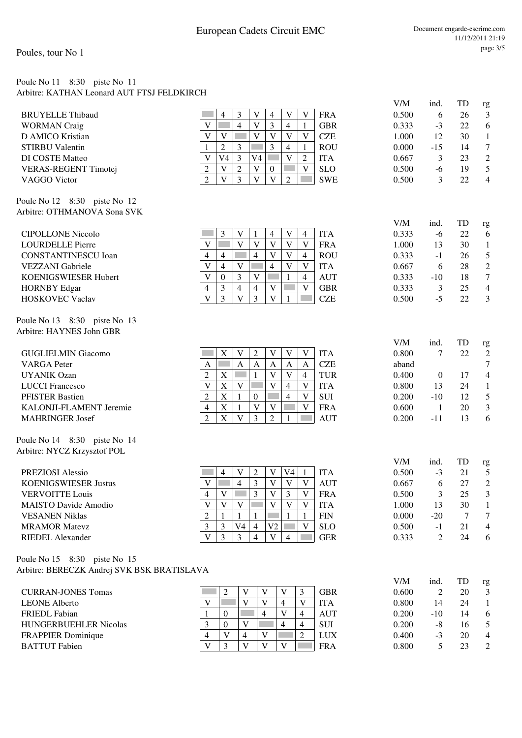#### Poule No 11 8:30 piste No 11 Arbitre: KATHAN Leonard AUT FTSJ FELDKIRCH

| <b>BRUYELLE Thibaud</b>     |
|-----------------------------|
| <b>WORMAN</b> Craig         |
| D AMICO Kristian            |
|                             |
| <b>STIRBU Valentin</b>      |
| DI COSTE Matteo             |
| <b>VERAS-REGENT Timotej</b> |
| VAGGO Victor                |

Poule No 12 8:30 piste No 12 Arbitre: OTHMANOVA Sona SVK

| <b>CIPOLLONE Niccolo</b>    |
|-----------------------------|
| <b>LOURDELLE Pierre</b>     |
| <b>CONSTANTINESCU</b> Ioan  |
| <b>VEZZANI</b> Gabriele     |
| <b>KOENIGSWIESER Hubert</b> |
| <b>HORNBY Edgar</b>         |
| <b>HOSKOVEC Vaclav</b>      |

Poule No 13 8:30 piste No 13 Arbitre: HAYNES John GBR

Poule No 14 8:30 piste No 14 Arbitre: NYCZ Krzysztof POL

| <b>PREZIOSI</b> Alessio     |                |                          |    |           |                | V4 |    | <b>ITA</b> | 0.500 | - 1                      | $\bigcap$ |  |
|-----------------------------|----------------|--------------------------|----|-----------|----------------|----|----|------------|-------|--------------------------|-----------|--|
| <b>KOENIGSWIESER Justus</b> |                |                          | 4  |           |                |    |    | <b>AUT</b> | 0.667 |                          |           |  |
| <b>VERVOITTE Louis</b>      |                |                          |    |           |                |    |    | <b>FRA</b> | 0.500 |                          |           |  |
| <b>MAISTO Davide Amodio</b> |                |                          |    |           |                |    |    | <b>ITA</b> | .000  |                          | 30        |  |
| <b>VESANEN Niklas</b>       | $\overline{ }$ |                          |    |           |                |    |    | <b>FIN</b> | 0.000 | $-20$                    |           |  |
| <b>MRAMOR Matevz</b>        |                |                          | V4 | $\Lambda$ | V <sub>2</sub> |    | V) | <b>SLO</b> | 0.500 | $\overline{\phantom{0}}$ |           |  |
| RIEDEL Alexander            |                | $\overline{\phantom{a}}$ |    |           |                |    |    | <b>GER</b> | 0.333 |                          | 24        |  |
|                             |                |                          |    |           |                |    |    |            |       |                          |           |  |

#### Poule No 15 8:30 piste No 15 Arbitre: BERECZK Andrej SVK BSK BRATISLAVA

| <b>CURRAN-JONES Tomas</b>    |  | V            | V)           | $\mathbf{V}$ | <b>GBR</b> | 0.600 |       | 20 |  |
|------------------------------|--|--------------|--------------|--------------|------------|-------|-------|----|--|
| <b>LEONE Alberto</b>         |  |              |              | 4            | <b>ITA</b> | 0.800 | 14    | 24 |  |
| <b>FRIEDL</b> Fabian         |  |              |              | N)           | <b>AUT</b> | 0.200 | $-10$ |    |  |
| <b>HUNGERBUEHLER Nicolas</b> |  | V            |              | 4            | <b>SUI</b> | 0.200 | -0    | ١b |  |
| <b>FRAPPIER Dominique</b>    |  | 4            |              |              | <b>LUX</b> | 0.400 | - 1   | 20 |  |
| <b>BATTUT</b> Fabien         |  | $\mathbf{V}$ | $\mathbf{V}$ | V            | <b>FRA</b> | 0.800 |       | つく |  |
|                              |  |              |              |              |            |       |       |    |  |

| Document engarde-escrime.com |
|------------------------------|
| 11/12/2011 21:19             |
| page 3/5                     |

|                         |    |    |    |   |            | .     | ----- |    | - 2 |
|-------------------------|----|----|----|---|------------|-------|-------|----|-----|
| <b>BRUYELLE Thibaud</b> |    |    |    |   | <b>FRA</b> | 0.500 |       | 26 |     |
| <b>WORMAN Craig</b>     |    |    |    | 4 | <b>GBR</b> | 0.333 | - 1   |    | 6   |
| D AMICO Kristian        |    |    | V  |   | <b>CZE</b> | 1.000 | 12    | 30 |     |
| STIRBU Valentin         | ◠  |    |    | 4 | <b>ROU</b> | 0.000 | -15   | 14 |     |
| <b>DI COSTE Matteo</b>  | V4 | V4 |    |   | <b>ITA</b> | 0.667 |       |    |     |
| VERAS-REGENT Timotej    |    |    | -0 |   | <b>SLO</b> | 0.500 | -6    | 19 |     |
| VAGGO Victor            |    |    | V  |   | <b>SWE</b> | 0.500 |       | າາ | Δ   |
|                         |    |    |    |   |            |       |       |    |     |

| <b>CIPOLLONE Niccolo</b> |   |  |  | <b>ITA</b> | 0.333 | -0    |    |  |
|--------------------------|---|--|--|------------|-------|-------|----|--|
| LOURDELLE Pierre         |   |  |  | <b>FRA</b> | 1.000 |       | 30 |  |
| CONSTANTINESCU Ioan      |   |  |  | <b>ROU</b> | 0.333 | -     |    |  |
| VEZZANI Gabriele         |   |  |  | <b>ITA</b> | 0.667 |       | 28 |  |
| KOENIGSWIESER Hubert     | 0 |  |  | <b>AUT</b> | 0.333 | $-10$ | 18 |  |
| HORNBY Edgar             |   |  |  | <b>GBR</b> | 0.333 |       |    |  |
| HOSKOVEC Vaclav          |   |  |  | <b>CZE</b> | 0.500 | -     |    |  |

| <b>GUGLIELMIN Giacomo</b> |   |           |   |        |          | <b>ITA</b> | 0.800 |     |    |  |
|---------------------------|---|-----------|---|--------|----------|------------|-------|-----|----|--|
| <b>VARGA</b> Peter        |   |           | A | А      |          | <b>CZE</b> | aband |     |    |  |
| <b>UYANIK Ozan</b>        | ∸ | A         |   |        | $\Delta$ | TUR        | 0.400 |     |    |  |
| <b>LUCCI</b> Francesco    |   | X         |   | V      |          | <b>ITA</b> | 0.800 |     | 24 |  |
| <b>PFISTER Bastien</b>    |   | X         |   |        |          | <b>SUI</b> | 0.200 | -10 |    |  |
| KALONJI-FLAMENT Jeremie   |   | $\Lambda$ |   |        |          | <b>FRA</b> | 0.600 |     | 20 |  |
| <b>MAHRINGER Josef</b>    |   |           |   | $\sim$ |          | <b>AUT</b> | 0.200 | -11 |    |  |

|   | ٢Z | 2 | ۲Z | V4 |    | <b>ITA</b>      |
|---|----|---|----|----|----|-----------------|
| O |    |   |    |    | Ū  | AU <sup>'</sup> |
|   |    |   |    |    |    | FR/             |
|   |    |   |    |    | O  | <b>ITA</b>      |
| 2 |    |   |    |    |    | <b>FIN</b>      |
|   |    |   | V2 |    | V) | <b>SLC</b>      |
|   |    |   |    |    |    | <b>GEI</b>      |

| 0.333 | -3    | 22 | 6              |
|-------|-------|----|----------------|
| 1.000 | 12    | 30 | 1              |
| 0.000 | $-15$ | 14 | 7              |
| 0.667 | 3     | 23 | $\overline{c}$ |
| 0.500 | -6    | 19 | 5              |
| 0.500 | 3     | 22 | 4              |
|       |       |    |                |
|       |       |    |                |
| V/M   | ind.  | TD | rg             |
| 0.333 | -6    | 22 | 6              |
|       |       |    |                |

V/M ind. TD rg

| 1.000 | 13    | 30 |   |
|-------|-------|----|---|
| 0.333 | -1    | 26 | 5 |
| 0.667 | 6     | 28 | 2 |
| 0.333 | $-10$ | 18 | 7 |
| 0.333 | 3     | 25 | 4 |
| 0.500 | -5    | 22 | 3 |
|       |       |    |   |

| V/M   | ind.  | TD | rg |
|-------|-------|----|----|
| 0.800 | 7     | 22 | 2  |
| aband |       |    | 7  |
| 0.400 | 0     | 17 | 4  |
| 0.800 | 13    | 24 | 1  |
| 0.200 | $-10$ | 12 | 5  |
| 0.600 | 1     | 20 | 3  |
| 0.200 | -11   | 13 | 6  |
|       |       |    |    |

| V/M   | ind.           | TD | rg |
|-------|----------------|----|----|
| 0.500 | $-3$           | 21 | 5  |
| 0.667 | 6              | 27 | 2  |
| 0.500 | 3              | 25 | 3  |
| 1.000 | 13             | 30 | 1  |
| 0.000 | $-20$          | 7  | 7  |
| 0.500 | $-1$           | 21 | 4  |
| 0.333 | $\mathfrak{D}$ | 24 | 6  |
|       |                |    |    |

| V/M   | ind.           | TD | rg |
|-------|----------------|----|----|
| 0.600 | $\mathfrak{D}$ | 20 | 3  |
| 0.800 | 14             | 24 | 1  |
| 0.200 | $-10$          | 14 | 6  |
| 0.200 | -8             | 16 | 5  |
| 0.400 | $-3$           | 20 | 4  |
| 0.800 | 5              | 23 | 2  |
|       |                |    |    |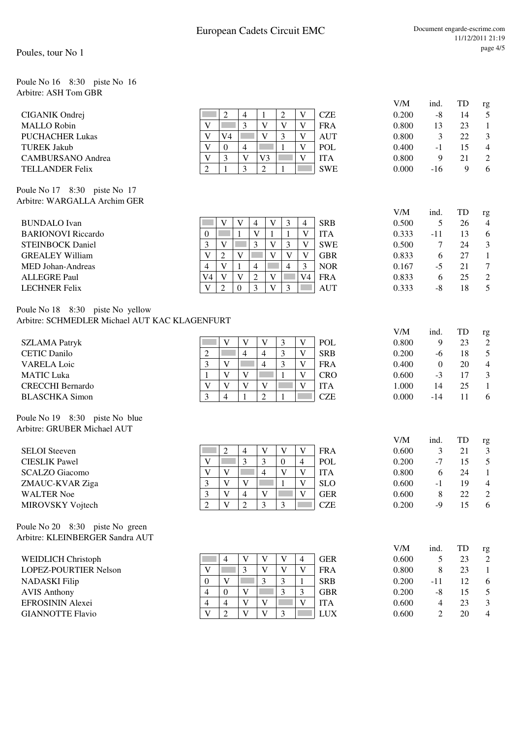#### Poules, tour No 1

#### Poule No 16 8:30 piste No 16 Arbitre: ASH Tom GBR

|                                               |                |                |                |                         |   |                |            | V/M   | ind.     | TD | rg               |
|-----------------------------------------------|----------------|----------------|----------------|-------------------------|---|----------------|------------|-------|----------|----|------------------|
| CIGANIK Ondrej                                |                | 2              | $\overline{4}$ |                         | 2 | V              | <b>CZE</b> | 0.200 | $-8$     | 14 | 5                |
| <b>MALLO</b> Robin                            | V              |                | 3              | $\overline{\mathbf{V}}$ | V | V              | <b>FRA</b> | 0.800 | 13       | 23 | $\mathbf{1}$     |
| <b>PUCHACHER Lukas</b>                        | V              | V4             |                | V                       | 3 | V              | <b>AUT</b> | 0.800 | 3        | 22 | 3                |
| <b>TUREK Jakub</b>                            | V              | $\mathbf{0}$   | $\overline{4}$ |                         | 1 | V              | POL        | 0.400 | $-1$     | 15 | $\overline{4}$   |
| <b>CAMBURSANO</b> Andrea                      | V              | 3              | V              | V <sub>3</sub>          |   | V              | <b>ITA</b> | 0.800 | 9        | 21 | $\boldsymbol{2}$ |
| <b>TELLANDER Felix</b>                        | $\overline{2}$ |                | 3              | $\overline{2}$          |   |                | <b>SWE</b> | 0.000 | $-16$    | 9  | 6                |
| Poule No 17 8:30 piste No 17                  |                |                |                |                         |   |                |            |       |          |    |                  |
| Arbitre: WARGALLA Archim GER                  |                |                |                |                         |   |                |            |       |          |    |                  |
|                                               |                |                |                |                         |   |                |            | V/M   | ind.     | TD | rg               |
| <b>BUNDALO</b> Ivan                           |                | V              | V              | V<br>4                  | 3 | $\overline{4}$ | <b>SRB</b> | 0.500 | 5        | 26 | 4                |
| <b>BARIONOVI Riccardo</b>                     | $\theta$       |                |                | V                       |   | V              | <b>ITA</b> | 0.333 | -11      | 13 | 6                |
| <b>STEINBOCK Daniel</b>                       | 3              | V              |                | 3<br>V                  | 3 | V              | <b>SWE</b> | 0.500 | 7        | 24 | 3                |
| <b>GREALEY William</b>                        | V              | 2              | V              | V                       | V | V              | <b>GBR</b> | 0.833 | 6        | 27 | $\mathbf{1}$     |
| <b>MED Johan-Andreas</b>                      | $\overline{4}$ | V              |                | $\overline{4}$          | 4 | 3              | <b>NOR</b> | 0.167 | $-5$     | 21 | $\tau$           |
| <b>ALLEGRE Paul</b>                           | V4             | $\mathbf{V}$   | V              | $\overline{2}$<br>V     |   | V <sub>4</sub> | <b>FRA</b> | 0.833 | 6        | 25 | $\sqrt{2}$       |
| <b>LECHNER Felix</b>                          | V              | $\overline{c}$ | $\theta$       | 3<br>V                  | 3 |                | <b>AUT</b> | 0.333 | $-8$     | 18 | 5                |
| Poule No 18 8:30 piste No yellow              |                |                |                |                         |   |                |            |       |          |    |                  |
| Arbitre: SCHMEDLER Michael AUT KAC KLAGENFURT |                |                |                |                         |   |                |            |       |          |    |                  |
|                                               |                |                |                |                         |   |                |            | V/M   | ind.     | TD | rg               |
| <b>SZLAMA Patryk</b>                          |                | V              | V              | V                       | 3 | V              | <b>POL</b> | 0.800 | 9        | 23 | $\sqrt{2}$       |
| <b>CETIC Danilo</b>                           | $\overline{c}$ |                | $\overline{4}$ | $\overline{4}$          | 3 | V              | <b>SRB</b> | 0.200 | -6       | 18 | 5                |
| <b>VARELA Loic</b>                            | 3              | V              |                | 4                       | 3 | V              | <b>FRA</b> | 0.400 | $\theta$ | 20 | 4                |
| <b>MATIC Luka</b>                             | $\mathbf{1}$   | V              | V              |                         |   | V              | <b>CRO</b> | 0.600 | $-3$     | 17 | 3                |
| <b>CRECCHI Bernardo</b>                       | V              | V              | V              | V                       |   | V              | <b>ITA</b> | 1.000 | 14       | 25 | $\mathbf{1}$     |
| <b>BLASCHKA</b> Simon                         | 3              | 4              |                | $\overline{2}$          | 1 |                | <b>CZE</b> | 0.000 | $-14$    | 11 | 6                |

Poule No 19 8:30 piste No blue Arbitre: GRUBER Michael AUT

|                                    |                |   |                |             |                |            |       |     |    | - 0 |
|------------------------------------|----------------|---|----------------|-------------|----------------|------------|-------|-----|----|-----|
| <b>SELOI</b> Steeven               |                | 2 | $\overline{4}$ |             |                | <b>FRA</b> | 0.600 |     | 21 | p   |
| <b>CIESLIK Pawel</b>               |                |   | 3              |             | $\overline{0}$ | <b>POL</b> | 0.200 | -7  | .5 |     |
| <b>SCALZO</b> Giacomo              |                |   |                | 4           | V              | <b>ITA</b> | 0.800 |     | 24 |     |
| ZMAUC-KVAR Ziga                    | 3              |   | V              |             |                | <b>SLO</b> | 0.600 | - 1 | 19 | 4   |
| <b>WALTER Noe</b>                  | 3              | V | $\overline{4}$ |             |                | <b>GER</b> | 0.600 |     | 22 |     |
| MIROVSKY Vojtech                   | $\overline{2}$ |   | 2              | $\mathbf 3$ | 3              | <b>CZE</b> | 0.200 | -9  |    | 6   |
|                                    |                |   |                |             |                |            |       |     |    |     |
| Poule No 20 8:30<br>piste No green |                |   |                |             |                |            |       |     |    |     |
| Arbitre: KLEINBERGER Sandra AUT    |                |   |                |             |                |            |       |     |    |     |

WEIDLICH Christoph  $\boxed{ }$   $\boxed{ }$   $\boxed{ }$   $\boxed{ }$   $\boxed{ }$   $\boxed{ }$   $\boxed{ }$   $\boxed{ }$   $\boxed{ }$   $\boxed{ }$   $\boxed{ }$   $\boxed{ }$   $\boxed{ }$   $\boxed{ }$   $\boxed{ }$   $\boxed{ }$   $\boxed{ }$   $\boxed{ }$   $\boxed{ }$   $\boxed{ }$   $\boxed{ }$   $\boxed{ }$   $\boxed{ }$   $\boxed{ }$   $\boxed{ }$   $\boxed{ }$   $\boxed{ }$   $\boxed{ }$   $\boxed{ }$ LOPEZ-POURTIER Nelson  $V = 3$   $V = V V$  FRA<br>
0.800 8 3 3 1 8RB NADASKI Filip  $\begin{array}{|c|c|c|c|c|c|c|}\n\hline\n0 & V & 3 & 3 & 1 & SRB \\
\hline\nAVIS Anthony & & & & 4 & 0 & V & 3 & 3 \\
\hline\n\end{array}$ AVIS Anthony  $\begin{array}{|c|c|c|c|c|c|c|c|c|} \hline 4 & 0 & \text{V} & \text{ } \end{array}$   $\begin{array}{|c|c|c|c|c|c|c|c|} \hline 3 & 3 & 3 & \text{GBR} \end{array}$ EFROSININ Alexei  $\begin{vmatrix} 4 & 4 & V & V \end{vmatrix}$  V  $\begin{vmatrix} 1 & 0 & 0 \\ 0 & 1 & 0 \\ 0 & 0 & 0 \end{vmatrix}$  V  $\begin{vmatrix} 1 & 0 & 0 \\ 0 & 1 & 0 \\ 0 & 1 & 0 \end{vmatrix}$ GIANNOTTE Flavio  $V | 2 | V | 3 | W$  LUX

| V/M   | ind. | TD | rg |
|-------|------|----|----|
| 0.600 | 3    | 21 | 3  |
| 0.200 | $-7$ | 15 | 5  |
| 0.800 | 6    | 24 | 1  |
| 0.600 | -1   | 19 | 4  |
| 0.600 | 8    | 22 | 2  |
| 0.200 | -9   | 15 | 6  |
|       |      |    |    |

| V/M   | ind.           | TD | rg             |
|-------|----------------|----|----------------|
| 0.600 | 5              | 23 | $\mathfrak{D}$ |
| 0.800 | 8              | 23 | 1              |
| 0.200 | -11            | 12 | 6              |
| 0.200 | -8             | 15 | 5              |
| 0.600 | 4              | 23 | 3              |
| 0.600 | $\mathfrak{D}$ | 20 |                |
|       |                |    |                |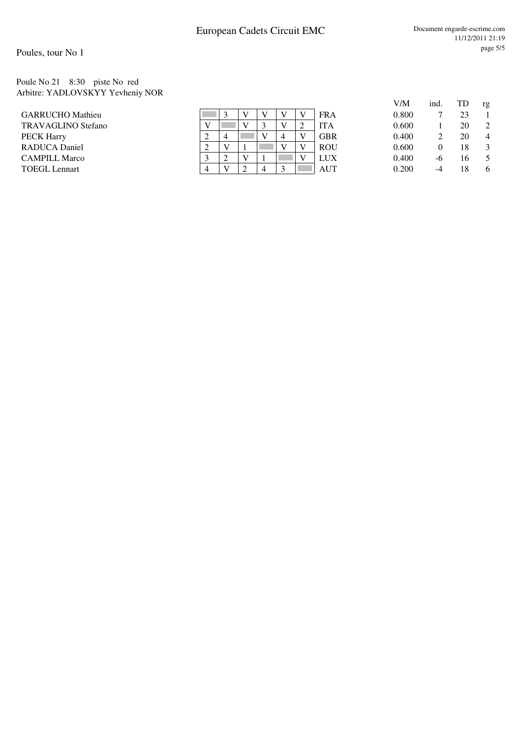Poules, tour No 1

#### Poule No 21 8:30 piste No red Arbitre: YADLOVSKYY Yevheniy NOR

| <b>GARRUCHO</b> Mathieu   |
|---------------------------|
| <b>TRAVAGLINO Stefano</b> |
| <b>PECK Harry</b>         |
| RADUCA Daniel             |
| <b>CAMPILL Marco</b>      |
| <b>TOEGL</b> Lennart      |

|                         |   |              |  |                |            | V I VI | mu. | ⊥  | 고 논 |
|-------------------------|---|--------------|--|----------------|------------|--------|-----|----|-----|
| <b>GARRUCHO Mathieu</b> |   |              |  |                | <b>FRA</b> | 0.800  |     |    |     |
| TRAVAGLINO Stefano      |   |              |  |                | ITA        | 0.600  |     | 20 |     |
| PECK Harry              | ∼ |              |  |                | <b>GBR</b> | 0.400  |     | 20 |     |
| <b>RADUCA Daniel</b>    |   | $\mathbf{V}$ |  |                | <b>ROU</b> | 0.600  |     |    |     |
| <b>CAMPILL Marco</b>    |   |              |  |                | LUX        | 0.400  | -6  |    |     |
| TOEGL Lennart           |   |              |  | $\overline{ }$ | AUT        | 0.200  | -4  |    |     |

| V/M   | ind. | TD | rg                          |
|-------|------|----|-----------------------------|
| 0.800 | 7    | 23 |                             |
| 0.600 | 1    | 20 | $\mathcal{D}_{\mathcal{L}}$ |
| 0.400 | 2    | 20 | 4                           |
| 0.600 | 0    | 18 | 3                           |
| 0.400 | -6   | 16 | 5                           |
| 0.200 |      | 18 |                             |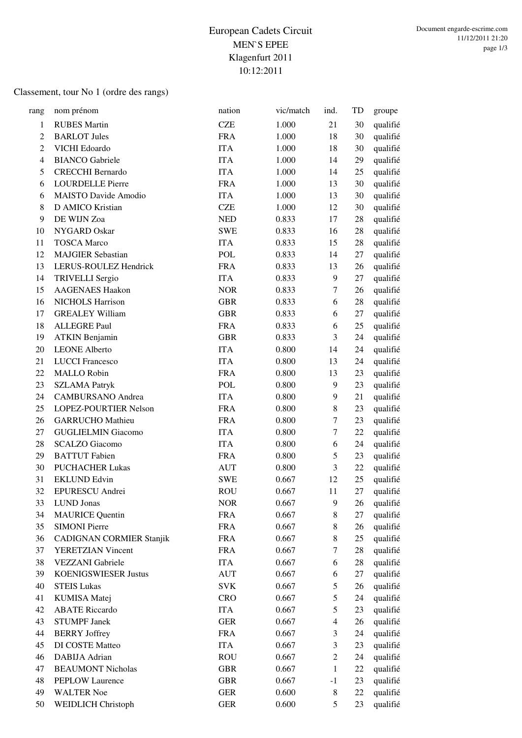### Classement, tour No 1 (ordre des rangs)

| rang           | nom prénom                      | nation     | vic/match | ind.           | TD | groupe   |
|----------------|---------------------------------|------------|-----------|----------------|----|----------|
| 1              | <b>RUBES</b> Martin             | <b>CZE</b> | 1.000     | 21             | 30 | qualifié |
| $\overline{2}$ | <b>BARLOT Jules</b>             | <b>FRA</b> | 1.000     | 18             | 30 | qualifié |
| $\mathbf{2}$   | VICHI Edoardo                   | <b>ITA</b> | 1.000     | 18             | 30 | qualifié |
| $\overline{4}$ | <b>BIANCO</b> Gabriele          | <b>ITA</b> | 1.000     | 14             | 29 | qualifié |
| 5              | <b>CRECCHI Bernardo</b>         | <b>ITA</b> | 1.000     | 14             | 25 | qualifié |
| 6              | <b>LOURDELLE Pierre</b>         | <b>FRA</b> | 1.000     | 13             | 30 | qualifié |
| 6              | <b>MAISTO Davide Amodio</b>     | <b>ITA</b> | 1.000     | 13             | 30 | qualifié |
| 8              | D AMICO Kristian                | <b>CZE</b> | 1.000     | 12             | 30 | qualifié |
| 9              | DE WIJN Zoa                     | <b>NED</b> | 0.833     | 17             | 28 | qualifié |
| 10             | NYGARD Oskar                    | <b>SWE</b> | 0.833     | 16             | 28 | qualifié |
| 11             | <b>TOSCA</b> Marco              | <b>ITA</b> | 0.833     | 15             | 28 | qualifié |
| 12             | <b>MAJGIER Sebastian</b>        | <b>POL</b> | 0.833     | 14             | 27 | qualifié |
| 13             | LERUS-ROULEZ Hendrick           | <b>FRA</b> | 0.833     | 13             | 26 | qualifié |
| 14             | <b>TRIVELLI Sergio</b>          | <b>ITA</b> | 0.833     | 9              | 27 | qualifié |
| 15             | <b>AAGENAES Haakon</b>          | <b>NOR</b> | 0.833     | $\tau$         | 26 | qualifié |
| 16             | <b>NICHOLS Harrison</b>         | <b>GBR</b> | 0.833     | 6              | 28 | qualifié |
| 17             | <b>GREALEY William</b>          | <b>GBR</b> | 0.833     | 6              | 27 | qualifié |
| 18             | <b>ALLEGRE Paul</b>             | <b>FRA</b> | 0.833     | 6              | 25 | qualifié |
| 19             | <b>ATKIN Benjamin</b>           | <b>GBR</b> | 0.833     | 3              | 24 | qualifié |
| 20             | <b>LEONE Alberto</b>            | <b>ITA</b> | 0.800     | 14             | 24 | qualifié |
| 21             | <b>LUCCI</b> Francesco          | <b>ITA</b> | 0.800     | 13             | 24 | qualifié |
| 22             | <b>MALLO Robin</b>              | <b>FRA</b> | 0.800     | 13             | 23 | qualifié |
| 23             | <b>SZLAMA Patryk</b>            | <b>POL</b> | 0.800     | 9              | 23 | qualifié |
| 24             | <b>CAMBURSANO</b> Andrea        | <b>ITA</b> | 0.800     | 9              | 21 | qualifié |
| 25             | LOPEZ-POURTIER Nelson           | <b>FRA</b> | 0.800     | 8              | 23 | qualifié |
| 26             | <b>GARRUCHO</b> Mathieu         | <b>FRA</b> | 0.800     | $\tau$         | 23 | qualifié |
| 27             | <b>GUGLIELMIN Giacomo</b>       | <b>ITA</b> | 0.800     | $\tau$         | 22 | qualifié |
| 28             | <b>SCALZO</b> Giacomo           | <b>ITA</b> | 0.800     | 6              | 24 | qualifié |
| 29             | <b>BATTUT</b> Fabien            | <b>FRA</b> | 0.800     | 5              | 23 | qualifié |
| 30             | <b>PUCHACHER Lukas</b>          | <b>AUT</b> | 0.800     | 3              | 22 | qualifié |
| 31             | <b>EKLUND Edvin</b>             | <b>SWE</b> | 0.667     | 12             | 25 | qualifié |
| 32             | EPURESCU Andrei                 | <b>ROU</b> | 0.667     | 11             | 27 | qualifié |
| 33             | <b>LUND</b> Jonas               | <b>NOR</b> | 0.667     | 9              | 26 | qualifié |
| 34             | <b>MAURICE Quentin</b>          | <b>FRA</b> | 0.667     | 8              | 27 | qualifié |
| 35             | <b>SIMONI Pierre</b>            | <b>FRA</b> | 0.667     | 8              | 26 | qualifié |
| 36             | <b>CADIGNAN CORMIER Stanjik</b> | <b>FRA</b> | 0.667     | 8              | 25 | qualifié |
| 37             | <b>YERETZIAN Vincent</b>        | <b>FRA</b> | 0.667     | 7              | 28 | qualifié |
| 38             | <b>VEZZANI</b> Gabriele         | <b>ITA</b> | 0.667     | 6              | 28 | qualifié |
| 39             | <b>KOENIGSWIESER Justus</b>     | <b>AUT</b> | 0.667     | 6              | 27 | qualifié |
| 40             | <b>STEIS Lukas</b>              | <b>SVK</b> | 0.667     | 5              | 26 | qualifié |
| 41             | <b>KUMISA</b> Matej             | <b>CRO</b> | 0.667     | 5              | 24 | qualifié |
| 42             | <b>ABATE Riccardo</b>           | <b>ITA</b> | 0.667     | 5              | 23 | qualifié |
| 43             | <b>STUMPF Janek</b>             | <b>GER</b> | 0.667     | $\overline{4}$ | 26 | qualifié |
| 44             | <b>BERRY</b> Joffrey            | <b>FRA</b> | 0.667     | 3              | 24 | qualifié |
| 45             | DI COSTE Matteo                 | <b>ITA</b> | 0.667     | 3              | 23 | qualifié |
| 46             | DABIJA Adrian                   | <b>ROU</b> | 0.667     | $\overline{2}$ | 24 | qualifié |
| 47             | <b>BEAUMONT Nicholas</b>        | <b>GBR</b> | 0.667     | $\mathbf{1}$   | 22 | qualifié |
| 48             | <b>PEPLOW Laurence</b>          | <b>GBR</b> | 0.667     | $-1$           | 23 | qualifié |
| 49             | <b>WALTER Noe</b>               | <b>GER</b> | 0.600     | $\,$ 8 $\,$    | 22 | qualifié |
| 50             | WEIDLICH Christoph              | <b>GER</b> | 0.600     | 5              | 23 | qualifié |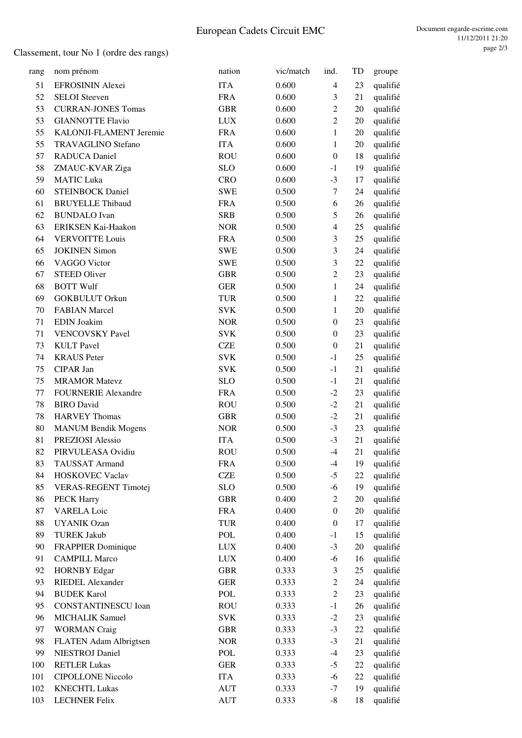Classement, tour No 1 (ordre des rangs)

| rang | nom prénom                                  | nation                   | vic/match | ind.                               | TD       | groupe   |
|------|---------------------------------------------|--------------------------|-----------|------------------------------------|----------|----------|
| 51   | EFROSININ Alexei                            | <b>ITA</b>               | 0.600     | $\overline{4}$                     | 23       | qualifié |
| 52   | <b>SELOI</b> Steeven                        | <b>FRA</b>               | 0.600     | 3                                  | 21       | qualifié |
| 53   | <b>CURRAN-JONES Tomas</b>                   | <b>GBR</b>               | 0.600     | $\mathfrak{2}$                     | 20       | qualifié |
| 53   | <b>GIANNOTTE Flavio</b>                     | <b>LUX</b>               | 0.600     | $\overline{c}$                     | 20       | qualifié |
| 55   | KALONJI-FLAMENT Jeremie                     | <b>FRA</b>               | 0.600     | $\mathbf{1}$                       | 20       | qualifié |
| 55   | <b>TRAVAGLINO Stefano</b>                   | <b>ITA</b>               | 0.600     | $\mathbf{1}$                       | 20       | qualifié |
| 57   | <b>RADUCA Daniel</b>                        | <b>ROU</b>               | 0.600     | $\boldsymbol{0}$                   | 18       | qualifié |
| 58   | ZMAUC-KVAR Ziga                             | <b>SLO</b>               | 0.600     | $-1$                               | 19       | qualifié |
| 59   | <b>MATIC Luka</b>                           | <b>CRO</b>               | 0.600     | $-3$                               | 17       | qualifié |
| 60   | <b>STEINBOCK Daniel</b>                     | <b>SWE</b>               | 0.500     | $\tau$                             | 24       | qualifié |
| 61   | <b>BRUYELLE Thibaud</b>                     | <b>FRA</b>               | 0.500     | 6                                  | 26       | qualifié |
| 62   | <b>BUNDALO</b> Ivan                         | <b>SRB</b>               | 0.500     | 5                                  | 26       | qualifié |
| 63   | ERIKSEN Kai-Haakon                          | <b>NOR</b>               | 0.500     | $\overline{4}$                     | 25       | qualifié |
| 64   | <b>VERVOITTE Louis</b>                      | <b>FRA</b>               | 0.500     | $\mathfrak{Z}$                     | 25       | qualifié |
| 65   | <b>JOKINEN</b> Simon                        | <b>SWE</b>               | 0.500     | 3                                  | 24       | qualifié |
| 66   | VAGGO Victor                                | <b>SWE</b>               | 0.500     | 3                                  | 22       | qualifié |
| 67   | <b>STEED Oliver</b>                         | <b>GBR</b>               | 0.500     | $\overline{2}$                     | 23       | qualifié |
| 68   | <b>BOTT Wulf</b>                            | <b>GER</b>               | 0.500     | $\mathbf{1}$                       | 24       | qualifié |
| 69   | <b>GOKBULUT Orkun</b>                       | <b>TUR</b>               | 0.500     | $\mathbf{1}$                       | 22       | qualifié |
| 70   | <b>FABIAN Marcel</b>                        | <b>SVK</b>               | 0.500     | $\mathbf{1}$                       | 20       | qualifié |
| 71   | <b>EDIN</b> Joakim                          | <b>NOR</b>               | 0.500     | $\boldsymbol{0}$                   | 23       |          |
| 71   |                                             |                          |           |                                    |          | qualifié |
| 73   | <b>VENCOVSKY Pavel</b><br><b>KULT</b> Pavel | <b>SVK</b><br><b>CZE</b> | 0.500     | $\overline{0}$<br>$\boldsymbol{0}$ | 23<br>21 | qualifié |
|      |                                             |                          | 0.500     |                                    |          | qualifié |
| 74   | <b>KRAUS</b> Peter                          | <b>SVK</b>               | 0.500     | $-1$                               | 25       | qualifié |
| 75   | <b>CIPAR Jan</b>                            | <b>SVK</b>               | 0.500     | $-1$                               | 21       | qualifié |
| 75   | <b>MRAMOR Matevz</b>                        | <b>SLO</b>               | 0.500     | $-1$                               | 21       | qualifié |
| 77   | <b>FOURNERIE Alexandre</b>                  | <b>FRA</b>               | 0.500     | $-2$                               | 23       | qualifié |
| 78   | <b>BIRO</b> David                           | <b>ROU</b>               | 0.500     | $-2$                               | 21       | qualifié |
| 78   | <b>HARVEY Thomas</b>                        | <b>GBR</b>               | 0.500     | $-2$                               | 21       | qualifié |
| 80   | <b>MANUM Bendik Mogens</b>                  | <b>NOR</b>               | 0.500     | $-3$                               | 23       | qualifié |
| 81   | <b>PREZIOSI</b> Alessio                     | <b>ITA</b>               | 0.500     | $-3$                               | 21       | qualifié |
| 82   | PIRVULEASA Ovidiu                           | <b>ROU</b>               | 0.500     | $-4$                               | 21       | qualifié |
| 83   | TAUSSAT Armand                              | <b>FRA</b>               | 0.500     | $-4$                               | 19       | qualifié |
| 84   | <b>HOSKOVEC Vaclav</b>                      | <b>CZE</b>               | 0.500     | $-5$                               | 22       | qualifié |
| 85   | <b>VERAS-REGENT Timotej</b>                 | <b>SLO</b>               | 0.500     | $-6$                               | 19       | qualifié |
| 86   | <b>PECK Harry</b>                           | <b>GBR</b>               | 0.400     | 2                                  | 20       | qualifié |
| 87   | <b>VARELA Loic</b>                          | <b>FRA</b>               | 0.400     | $\boldsymbol{0}$                   | 20       | qualifié |
| 88   | <b>UYANIK Ozan</b>                          | <b>TUR</b>               | 0.400     | $\boldsymbol{0}$                   | 17       | qualifié |
| 89   | <b>TUREK Jakub</b>                          | POL                      | 0.400     | $-1$                               | 15       | qualifié |
| 90   | FRAPPIER Dominique                          | <b>LUX</b>               | 0.400     | $-3$                               | 20       | qualifié |
| 91   | <b>CAMPILL Marco</b>                        | <b>LUX</b>               | 0.400     | $-6$                               | 16       | qualifié |
| 92   | <b>HORNBY Edgar</b>                         | <b>GBR</b>               | 0.333     | 3                                  | 25       | qualifié |
| 93   | RIEDEL Alexander                            | <b>GER</b>               | 0.333     | $\boldsymbol{2}$                   | 24       | qualifié |
| 94   | <b>BUDEK Karol</b>                          | POL                      | 0.333     | $\overline{2}$                     | 23       | qualifié |
| 95   | <b>CONSTANTINESCU Ioan</b>                  | <b>ROU</b>               | 0.333     | $-1$                               | 26       | qualifié |
| 96   | MICHALIK Samuel                             | <b>SVK</b>               | 0.333     | $-2$                               | 23       | qualifié |
| 97   | <b>WORMAN</b> Craig                         | <b>GBR</b>               | 0.333     | $-3$                               | 22       | qualifié |
| 98   | FLATEN Adam Albrigtsen                      | <b>NOR</b>               | 0.333     | $-3$                               | 21       | qualifié |
| 99   | NIESTROJ Daniel                             | POL                      | 0.333     | $-4$                               | 23       | qualifié |
| 100  | <b>RETLER Lukas</b>                         | <b>GER</b>               | 0.333     | $-5$                               | 22       | qualifié |
| 101  | <b>CIPOLLONE Niccolo</b>                    | <b>ITA</b>               | 0.333     | $-6$                               | 22       | qualifié |
| 102  | <b>KNECHTL Lukas</b>                        | <b>AUT</b>               | 0.333     | $-7$                               | 19       | qualifié |
| 103  | <b>LECHNER Felix</b>                        | <b>AUT</b>               | 0.333     | -8                                 | 18       | qualifié |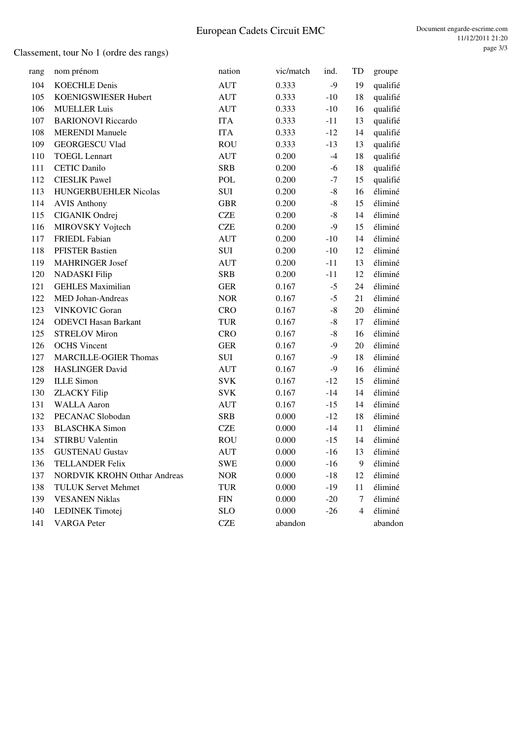### Classement, tour No 1 (ordre des rangs)

| rang | nom prénom                          | nation     | vic/match | ind.        | TD | groupe   |
|------|-------------------------------------|------------|-----------|-------------|----|----------|
| 104  | <b>KOECHLE Denis</b>                | <b>AUT</b> | 0.333     | $-9$        | 19 | qualifié |
| 105  | KOENIGSWIESER Hubert                | <b>AUT</b> | 0.333     | $-10$       | 18 | qualifié |
| 106  | <b>MUELLER Luis</b>                 | <b>AUT</b> | 0.333     | $-10$       | 16 | qualifié |
| 107  | <b>BARIONOVI Riccardo</b>           | <b>ITA</b> | 0.333     | $-11$       | 13 | qualifié |
| 108  | <b>MERENDI Manuele</b>              | <b>ITA</b> | 0.333     | $-12$       | 14 | qualifié |
| 109  | <b>GEORGESCU Vlad</b>               | <b>ROU</b> | 0.333     | $-13$       | 13 | qualifié |
| 110  | <b>TOEGL Lennart</b>                | <b>AUT</b> | 0.200     | $-4$        | 18 | qualifié |
| 111  | <b>CETIC Danilo</b>                 | <b>SRB</b> | 0.200     | $-6$        | 18 | qualifié |
| 112  | <b>CIESLIK Pawel</b>                | POL        | 0.200     | $-7$        | 15 | qualifié |
| 113  | <b>HUNGERBUEHLER Nicolas</b>        | SUI        | 0.200     | $-8$        | 16 | éliminé  |
| 114  | <b>AVIS Anthony</b>                 | <b>GBR</b> | 0.200     | $\mbox{-}8$ | 15 | éliminé  |
| 115  | CIGANIK Ondrej                      | <b>CZE</b> | 0.200     | $-8$        | 14 | éliminé  |
| 116  | MIROVSKY Vojtech                    | <b>CZE</b> | 0.200     | $-9$        | 15 | éliminé  |
| 117  | <b>FRIEDL Fabian</b>                | <b>AUT</b> | 0.200     | $-10$       | 14 | éliminé  |
| 118  | <b>PFISTER Bastien</b>              | SUI        | 0.200     | $-10$       | 12 | éliminé  |
| 119  | <b>MAHRINGER Josef</b>              | <b>AUT</b> | 0.200     | $-11$       | 13 | éliminé  |
| 120  | <b>NADASKI</b> Filip                | <b>SRB</b> | 0.200     | $-11$       | 12 | éliminé  |
| 121  | <b>GEHLES Maximilian</b>            | <b>GER</b> | 0.167     | $-5$        | 24 | éliminé  |
| 122  | MED Johan-Andreas                   | <b>NOR</b> | 0.167     | $-5$        | 21 | éliminé  |
| 123  | <b>VINKOVIC Goran</b>               | <b>CRO</b> | 0.167     | $\mbox{-}8$ | 20 | éliminé  |
| 124  | <b>ODEVCI Hasan Barkant</b>         | <b>TUR</b> | 0.167     | $-8$        | 17 | éliminé  |
| 125  | <b>STRELOV Miron</b>                | <b>CRO</b> | 0.167     | $-8$        | 16 | éliminé  |
| 126  | <b>OCHS</b> Vincent                 | <b>GER</b> | 0.167     | $-9$        | 20 | éliminé  |
| 127  | <b>MARCILLE-OGIER Thomas</b>        | SUI        | 0.167     | $-9$        | 18 | éliminé  |
| 128  | <b>HASLINGER David</b>              | <b>AUT</b> | 0.167     | $-9$        | 16 | éliminé  |
| 129  | <b>ILLE</b> Simon                   | <b>SVK</b> | 0.167     | $-12$       | 15 | éliminé  |
| 130  | <b>ZLACKY Filip</b>                 | <b>SVK</b> | 0.167     | $-14$       | 14 | éliminé  |
| 131  | <b>WALLA Aaron</b>                  | <b>AUT</b> | 0.167     | $-15$       | 14 | éliminé  |
| 132  | PECANAC Slobodan                    | <b>SRB</b> | 0.000     | $-12$       | 18 | éliminé  |
| 133  | <b>BLASCHKA</b> Simon               | <b>CZE</b> | 0.000     | $-14$       | 11 | éliminé  |
| 134  | <b>STIRBU Valentin</b>              | <b>ROU</b> | 0.000     | $-15$       | 14 | éliminé  |
| 135  | <b>GUSTENAU Gustav</b>              | <b>AUT</b> | 0.000     | $-16$       | 13 | éliminé  |
| 136  | <b>TELLANDER Felix</b>              | <b>SWE</b> | 0.000     | $-16$       | 9  | éliminé  |
| 137  | <b>NORDVIK KROHN Otthar Andreas</b> | <b>NOR</b> | 0.000     | $-18$       | 12 | éliminé  |
| 138  | <b>TULUK Servet Mehmet</b>          | <b>TUR</b> | 0.000     | $-19$       | 11 | éliminé  |
| 139  | <b>VESANEN Niklas</b>               | <b>FIN</b> | 0.000     | $-20$       | 7  | éliminé  |
| 140  | LEDINEK Timotej                     | <b>SLO</b> | 0.000     | $-26$       | 4  | éliminé  |
| 141  | <b>VARGA</b> Peter                  | <b>CZE</b> | abandon   |             |    | abandon  |
|      |                                     |            |           |             |    |          |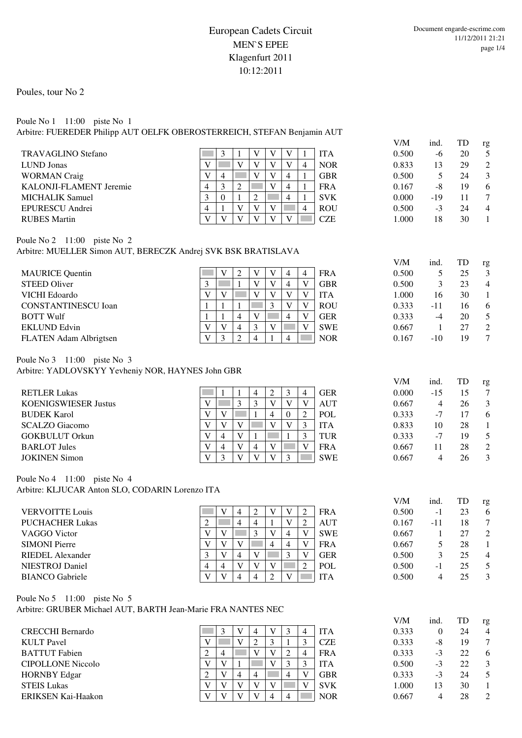Poules, tour No 2

#### Poule No 1 11:00 piste No 1 Arbitre: FUEREDER Philipp AUT OELFK OBEROSTERREICH, STEFAN Benjamin AUT

|                                                                                                                         |   |          |                |                |   |                |                |            | V/M   | ind.  | TD | rg                   |
|-------------------------------------------------------------------------------------------------------------------------|---|----------|----------------|----------------|---|----------------|----------------|------------|-------|-------|----|----------------------|
| <b>TRAVAGLINO</b> Stefano                                                                                               |   | 3        |                |                | V | V              |                | <b>ITA</b> | 0.500 | -6    | 20 | 5                    |
| LUND Jonas                                                                                                              | V |          | V              |                | V | V              | 4              | <b>NOR</b> | 0.833 | 13    | 29 | $\overline{2}$       |
| <b>WORMAN</b> Craig                                                                                                     | V | 4        |                | V              | V | 4              | 1              | <b>GBR</b> | 0.500 | 5     | 24 | 3                    |
| KALONJI-FLAMENT Jeremie                                                                                                 | 4 | 3        | 2              |                | V | 4              |                | <b>FRA</b> | 0.167 | -8    | 19 | 6                    |
| <b>MICHALIK Samuel</b>                                                                                                  | 3 | $\Omega$ |                | $\overline{2}$ |   | $\overline{4}$ |                | <b>SVK</b> | 0.000 | $-19$ | 11 | $\tau$               |
| <b>EPURESCU Andrei</b>                                                                                                  | 4 |          | V              | V              | V |                | 4              | <b>ROU</b> | 0.500 | $-3$  | 24 | $\overline{4}$       |
| <b>RUBES</b> Martin                                                                                                     | V | V        | V              |                | V | v              |                | <b>CZE</b> | 1.000 | 18    | 30 | 1                    |
|                                                                                                                         |   |          |                |                |   |                |                |            |       |       |    |                      |
| Poule No $2 \quad 11:00 \quad \text{piste No} \quad 2$<br>Arbitre: MUELLER Simon AUT, BERECZK Andrej SVK BSK BRATISLAVA |   |          |                |                |   |                |                |            | V/M   | ind.  | TD | rg                   |
| <b>MAURICE Quentin</b>                                                                                                  |   | V        | 2              | V              | V | $\overline{4}$ | $\overline{4}$ | <b>FRA</b> | 0.500 | 5     | 25 | 3                    |
| <b>STEED Oliver</b>                                                                                                     | 3 |          |                | V              | V | $\overline{4}$ | V              | <b>GBR</b> | 0.500 | 3     | 23 | $\overline{4}$       |
| VICHI Edoardo                                                                                                           | V | V        |                | V              | V | V              | V              | <b>ITA</b> | 1.000 | 16    | 30 | $\mathbf{1}$         |
| <b>CONSTANTINESCU</b> Ioan                                                                                              |   |          |                |                | 3 | V              | V              | <b>ROU</b> | 0.333 | $-11$ | 16 | 6                    |
| <b>BOTT Wulf</b>                                                                                                        |   |          | $\overline{4}$ | V              |   | 4              | V              | <b>GER</b> | 0.333 | $-4$  | 20 | 5                    |
| <b>EKLUND</b> Edvin                                                                                                     | V | V        | 4              | 3              | V |                | V              | <b>SWE</b> | 0.667 | 1     | 27 | 2<br>$7\phantom{.0}$ |

Poule No 3 11:00 piste No 3

Arbitre: YADLOVSKYY Yevheniy NOR, HAYNES John GBR

|                             |             |    |                |   |          |              |            | V/M   | ind.  | TD | rg            |
|-----------------------------|-------------|----|----------------|---|----------|--------------|------------|-------|-------|----|---------------|
| <b>RETLER Lukas</b>         |             |    | $\overline{4}$ |   |          | 4            | <b>GER</b> | 0.000 | $-15$ | 15 |               |
| <b>KOENIGSWIESER Justus</b> |             |    |                | V |          | $\mathbf{V}$ | <b>AUT</b> | 0.667 | 4     | 26 | $\mathcal{E}$ |
| <b>BUDEK Karol</b>          | V           |    |                |   | $\theta$ | ◠            | POL        | 0.333 | -7    | 17 | 6             |
| <b>SCALZO</b> Giacomo       | v           | V) |                | V |          | 3            | <b>ITA</b> | 0.833 | 10    | 28 |               |
| <b>GOKBULUT Orkun</b>       | 4           | V  |                |   |          | 3            | <b>TUR</b> | 0.333 | -7    | 19 | .5            |
| <b>BARLOT</b> Jules         | 4           | V  | $\overline{4}$ |   |          | V            | <b>FRA</b> | 0.667 |       | 28 | 2             |
| <b>JOKINEN</b> Simon        | $\mathbf 3$ |    |                |   | $\sim$   |              | <b>SWE</b> | 0.667 |       | 26 | $\mathcal{R}$ |

Poule No 4 11:00 piste No 4 Arbitre: KLJUCAR Anton SLO, CODARIN Lorenzo ITA

|                        |                   |                |                |                |              |                |            | V/M   | ind. | TD | rg             |
|------------------------|-------------------|----------------|----------------|----------------|--------------|----------------|------------|-------|------|----|----------------|
| <b>VERVOITTE Louis</b> |                   |                | 4              |                | v            | V              | <b>FRA</b> | 0.500 | - 1  | 23 | -6             |
| <b>PUCHACHER Lukas</b> | ി                 |                | $\overline{4}$ | $\overline{4}$ |              | $\mathbf{V}$   | <b>AUT</b> | 0.167 | -11  | 18 |                |
| VAGGO Victor           |                   |                |                |                | $\mathbf{V}$ | 4              | <b>SWE</b> | 0.667 |      | 27 | 2              |
| <b>SIMONI Pierre</b>   |                   | V              |                |                | 4            | $\overline{4}$ | <b>FRA</b> | 0.667 |      | 28 |                |
| RIEDEL Alexander       | $\mathbf{\Omega}$ | $\mathbf{V}$   | 4              |                |              |                | <b>GER</b> | 0.500 |      | 25 | $\overline{4}$ |
| <b>NIESTROJ</b> Daniel | 4                 | $\overline{4}$ |                |                |              |                | POL        | 0.500 | - 1  | 25 | .5             |
| <b>BIANCO</b> Gabriele |                   |                |                | 4              | ◠            |                | <b>ITA</b> | 0.500 | 4    | 25 | $\mathcal{E}$  |

Poule No 5 11:00 piste No 5

Arbitre: GRUBER Michael AUT, BARTH Jean-Marie FRA NANTES NEC

|                          |        |                |                |    |   |   |            | V/M   | ind. | TD | rg             |
|--------------------------|--------|----------------|----------------|----|---|---|------------|-------|------|----|----------------|
| <b>CRECCHI Bernardo</b>  |        | 3              | v              | 4  | v |   | <b>ITA</b> | 0.333 | O    | 24 | $\overline{4}$ |
| <b>KULT</b> Pavel        |        |                |                |    |   |   | <b>CZE</b> | 0.333 | -8   | 19 | $\tau$         |
| <b>BATTUT</b> Fabien     | ◠<br>∸ | $\overline{4}$ |                |    | V | ∠ | <b>FRA</b> | 0.333 | $-3$ | 22 | -6             |
| <b>CIPOLLONE Niccolo</b> |        |                |                |    | V |   | <b>ITA</b> | 0.500 | -3   | 22 | 3              |
| <b>HORNBY Edgar</b>      | ◠<br>∠ | $\mathbf{V}$   | $\overline{4}$ | -4 |   | 4 | <b>GBR</b> | 0.333 | $-3$ | 24 | .5             |
| <b>STEIS Lukas</b>       |        |                |                |    |   |   | <b>SVK</b> | 1.000 | 13   | 30 |                |
| ERIKSEN Kai-Haakon       |        |                |                |    |   | 4 | <b>NOR</b> | 0.667 |      | 28 | 2              |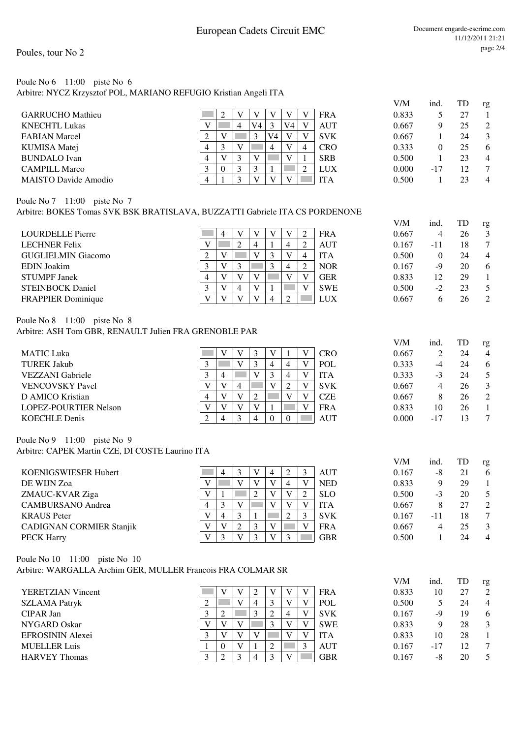#### Poule No 6 11:00 piste No 6 Arbitre: NYCZ Krzysztof POL, MARIANO REFUGIO Kristian Angeli ITA

|                             |   |          |                |    |    |    |            | V / IVI | шч. | ΙU | -18            |
|-----------------------------|---|----------|----------------|----|----|----|------------|---------|-----|----|----------------|
| <b>GARRUCHO</b> Mathieu     |   |          |                |    |    |    | <b>FRA</b> | 0.833   |     | 27 |                |
| <b>KNECHTL Lukas</b>        |   |          | $\overline{4}$ | V4 |    | V4 | <b>AUT</b> | 0.667   |     | 25 | 2              |
| <b>FABIAN Marcel</b>        | ∠ |          |                |    | V4 |    | <b>SVK</b> | 0.667   |     | 24 | 3              |
| KUMISA Matej                |   | 3        |                |    | 4  | V  | <b>CRO</b> | 0.333   |     | 25 | 6              |
| <b>BUNDALO</b> Ivan         |   |          |                |    |    |    | <b>SRB</b> | 0.500   |     | 23 | $\overline{4}$ |
| <b>CAMPILL Marco</b>        |   | $\Omega$ |                |    |    |    | <b>LUX</b> | 0.000   | -17 |    | $\tau$         |
| <b>MAISTO Davide Amodio</b> |   |          |                |    | V  |    | <b>ITA</b> | 0.500   |     | 23 | 4              |

#### Poule No 7 11:00 piste No 7

Arbitre: BOKES Tomas SVK BSK BRATISLAVA, BUZZATTI Gabriele ITA CS PORDENONE

| V<br><b>LOURDELLE</b> Pierre<br><b>FRA</b><br>0.667                    | 26<br>4<br>18 | 3              |
|------------------------------------------------------------------------|---------------|----------------|
|                                                                        |               | $\tau$         |
| <b>LECHNER Felix</b><br><b>AUT</b><br>0.167<br>$-11$<br>4<br>4         |               |                |
| <b>GUGLIELMIN Giacomo</b><br>$\bf{V}$<br><b>ITA</b><br>0.500<br>3<br>4 | 24            | $\overline{4}$ |
| $\mathbf{V}$<br><b>NOR</b><br>3<br><b>EDIN</b> Joakim<br>ി<br>0.167    | 20<br>-9      | -6             |
| <b>STUMPF Janek</b><br>X7<br>0.833<br><b>GER</b><br>4                  | 29<br>12      |                |
| <b>STEINBOCK Daniel</b><br>V<br><b>SWE</b><br>0.500                    | 23<br>$-2$    | 5              |
| <b>LUX</b><br>FRAPPIER Dominique<br>0.667<br>4                         | 26<br>h       | 2              |

#### Poule No 8 11:00 piste No 8

Arbitre: ASH Tom GBR, RENAULT Julien FRA GRENOBLE PAR

|                              |   |                |                |   |                |          |   |            | V/M   | ind.  | TD | rg |
|------------------------------|---|----------------|----------------|---|----------------|----------|---|------------|-------|-------|----|----|
| <b>MATIC Luka</b>            |   | v              | V              |   |                |          |   | <b>CRO</b> | 0.667 |       | 24 | 4  |
| <b>TUREK Jakub</b>           |   |                | V              |   | $\overline{4}$ | 4        | V | <b>POL</b> | 0.333 | -4    | 24 | 6  |
| <b>VEZZANI</b> Gabriele      |   | 4              |                | V | 3              | 4        |   | <b>ITA</b> | 0.333 | -3    | 24 | 5  |
| <b>VENCOVSKY Pavel</b>       |   |                | $\overline{4}$ |   |                |          |   | <b>SVK</b> | 0.667 | 4     | 26 | 3  |
| D AMICO Kristian             | 4 |                | V              |   |                |          |   | <b>CZE</b> | 0.667 | 8     | 26 | 2  |
| <b>LOPEZ-POURTIER Nelson</b> | v |                | v              | V |                |          | V | <b>FRA</b> | 0.833 | 10    | 26 |    |
| <b>KOECHLE Denis</b>         |   | $\overline{4}$ |                | 4 | $\Omega$       | $\Omega$ |   | <b>AUT</b> | 0.000 | $-17$ | 13 |    |
|                              |   |                |                |   |                |          |   |            |       |       |    |    |

#### Poule No 9 11:00 piste No 9 Arbitre: CAPEK Martin CZE, DI COSTE Laurino ITA

|                                 |    |                |                   |              |              |   |   |            | V/M   | ind. | TD | rg             |
|---------------------------------|----|----------------|-------------------|--------------|--------------|---|---|------------|-------|------|----|----------------|
| KOENIGSWIESER Hubert            |    | $\overline{4}$ | $\mathbf{\Omega}$ | V            |              | ∍ |   | <b>AUT</b> | 0.167 | -8   | 21 | 6              |
| DE WIJN Zoa                     |    |                | v                 | $\mathbf{V}$ | V            | 4 |   | <b>NED</b> | 0.833 | 9    | 29 |                |
| ZMAUC-KVAR Ziga                 |    |                |                   |              |              |   | 2 | <b>SLO</b> | 0.500 | -3   | 20 | 5              |
| <b>CAMBURSANO</b> Andrea        |    | 3              | V                 |              | V            |   |   | <b>ITA</b> | 0.667 | 8    | 27 | 2              |
| <b>KRAUS</b> Peter              | V. | 4              | $\sim$            |              |              | ∍ | 3 | <b>SVK</b> | 0.167 | -11  | 18 | $\tau$         |
| <b>CADIGNAN CORMIER Stanjik</b> |    | $\mathbf{V}$   | $\sim$            |              | V            |   |   | <b>FRA</b> | 0.667 | 4    | 25 | 3              |
| <b>PECK Harry</b>               | V  | $\mathbf{a}$   | $\mathbf{V}$      |              | $\mathbf{V}$ | 3 |   | <b>GBR</b> | 0.500 |      | 24 | $\overline{4}$ |
|                                 |    |                |                   |              |              |   |   |            |       |      |    |                |

Poule No 10 11:00 piste No 10 Arbitre: WARGALLA Archim GER, MULLER Francois FRA COLMAR SR

|                          |   |              |   |   |                               |   |   |            | V/M   | ind.  | TD | rg             |
|--------------------------|---|--------------|---|---|-------------------------------|---|---|------------|-------|-------|----|----------------|
| <b>YERETZIAN Vincent</b> |   |              |   |   | V                             | v |   | <b>FRA</b> | 0.833 | 10    | 27 | 2              |
| <b>SZLAMA Patryk</b>     | ∸ |              |   | 4 | 3                             |   |   | POL        | 0.500 |       | 24 | $\overline{4}$ |
| <b>CIPAR Jan</b>         |   | ∠            |   |   | ◠<br>$\overline{ }$           | 4 |   | <b>SVK</b> | 0.167 | -9    | 19 | 6              |
| NYGARD Oskar             |   |              |   |   | 3                             |   |   | <b>SWE</b> | 0.833 | 9     | 28 | 3              |
| <b>EFROSININ Alexei</b>  |   | $\mathbf{V}$ | V |   |                               |   |   | <b>ITA</b> | 0.833 | 10    | 28 |                |
| <b>MUELLER Luis</b>      |   | $\Omega$     | V |   | ◠<br>$\overline{\phantom{0}}$ |   | 3 | <b>AUT</b> | 0.167 | $-17$ | 12 |                |
| <b>HARVEY Thomas</b>     |   | ി            |   | 4 | 3                             |   |   | <b>GBR</b> | 0.167 | -8    | 20 | 5              |

 $V/M$  ind. TD rg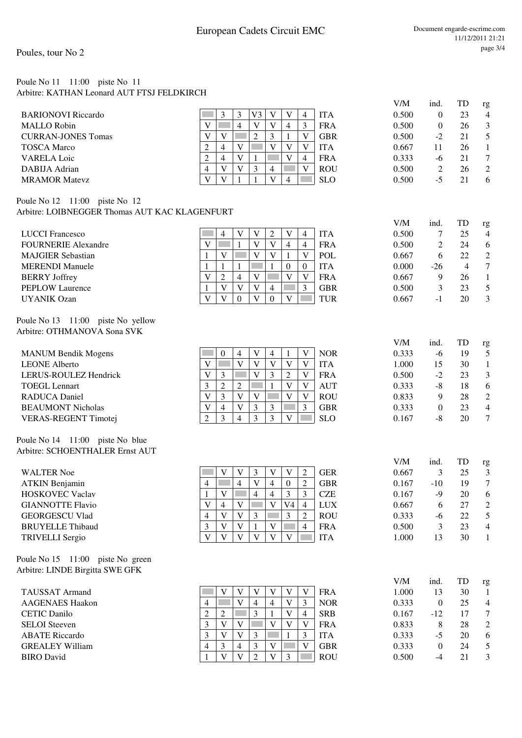#### Poule No 11 11:00 piste No 11 Arbitre: KATHAN Leonard AUT FTSJ FELDKIRCH

|                           |   |                |   |              |              |                |   |            | V/M   | ind.     | TD | rg             |
|---------------------------|---|----------------|---|--------------|--------------|----------------|---|------------|-------|----------|----|----------------|
| <b>BARIONOVI Riccardo</b> |   | 3              |   | V3           |              | V)             | 4 | <b>ITA</b> | 0.500 | 0        | 23 | $\overline{4}$ |
| <b>MALLO</b> Robin        |   |                | 4 |              | $\mathbf{V}$ | $\overline{4}$ |   | <b>FRA</b> | 0.500 | $\theta$ | 26 | 3              |
| <b>CURRAN-JONES Tomas</b> |   | N)             |   | ∠            |              |                |   | <b>GBR</b> | 0.500 | $-2$     | 21 | 5              |
| <b>TOSCA Marco</b>        |   | 4              |   |              | V            | $\mathbf{V}$   |   | <b>ITA</b> | 0.667 | 11       | 26 |                |
| <b>VARELA Loic</b>        | ◠ | $\overline{4}$ | V |              |              | V              | 4 | <b>FRA</b> | 0.333 | -6       | 21 |                |
| DABIJA Adrian             | 4 | V              | v | $\mathbf{c}$ | 4            |                |   | <b>ROU</b> | 0.500 | 2        | 26 | 2              |
| <b>MRAMOR Matevz</b>      |   | V              |   |              | $\mathbf{V}$ | $\overline{4}$ |   | <b>SLO</b> | 0.500 | $-5$     | 21 | 6              |

#### Poule No 12 11:00 piste No 12 Arbitre: LOIBNEGGER Thomas AUT KAC KLAGENFURT

|                            |              |   |              |          |          |            | <b>VIIVI</b> | ,,,,,, | .  | ء - |
|----------------------------|--------------|---|--------------|----------|----------|------------|--------------|--------|----|-----|
| <b>LUCCI</b> Francesco     |              |   | $\mathbf{V}$ |          |          | <b>ITA</b> | 0.500        |        |    |     |
| <b>FOURNERIE Alexandre</b> | V            |   | V            | V        |          | <b>FRA</b> | 0.500        |        | 24 | 6   |
| <b>MAJGIER Sebastian</b>   |              |   | V            | v        |          | <b>POL</b> | 0.667        |        |    |     |
| <b>MERENDI Manuele</b>     |              |   |              |          | $\Omega$ | <b>ITA</b> | 0.000        | $-26$  |    |     |
| <b>BERRY</b> Joffrey       | $\mathbf{V}$ | 4 | V            |          |          | <b>FRA</b> | 0.667        |        | 26 |     |
| <b>PEPLOW Laurence</b>     |              |   | $\mathbf{V}$ | 4        |          | <b>GBR</b> | 0.500        |        | 23 |     |
| <b>UYANIK Ozan</b>         | V            |   | V            | $\Omega$ |          | <b>TUR</b> | 0.667        | ۰.     | 20 | c   |
|                            |              |   |              |          |          |            |              |        |    |     |

Poule No 13 11:00 piste No yellow Arbitre: OTHMANOVA Sona SVK

| <b>MANUM Bendik Mogens</b>  |
|-----------------------------|
| <b>LEONE Alberto</b>        |
| LERUS-ROULEZ Hendrick       |
| <b>TOEGL Lennart</b>        |
| RADUCA Daniel               |
| <b>BEAUMONT Nicholas</b>    |
| <b>VERAS-REGENT Timotej</b> |

#### Poule No 14 11:00 piste No blue Arbitre: SCHOENTHALER Ernst AUT

| WALTER Noe              |
|-------------------------|
| <b>ATKIN Benjamin</b>   |
| <b>HOSKOVEC Vaclav</b>  |
| <b>GIANNOTTE Flavio</b> |
| <b>GEORGESCU Vlad</b>   |
| <b>BRUYELLE Thibaud</b> |
| <b>TRIVELLI Sergio</b>  |

Poule No 15 11:00 piste No green Arbitre: LINDE Birgitta SWE GFK

| <b>TAUSSAT Armand</b>  |
|------------------------|
| <b>AAGENAES Haakon</b> |
| CETIC Danilo           |
| <b>SELOI</b> Steeven   |
| <b>ABATE Riccardo</b>  |
| <b>GREALEY William</b> |
| <b>BIRO</b> David      |

| 0.333 |    |                |
|-------|----|----------------|
|       |    |                |
| 1.000 |    |                |
| 0.500 | Ξ, |                |
| 0.333 | -8 |                |
| 0.833 |    |                |
| 0.333 |    |                |
| 0.167 | -0 |                |
|       |    | 30<br>28<br>20 |

| <b>WALTER Noe</b>       |              |  |   |          |   | <b>GER</b> | 0.667 |     |    |  |
|-------------------------|--------------|--|---|----------|---|------------|-------|-----|----|--|
| <b>ATKIN Benjamin</b>   |              |  |   | $\theta$ |   | <b>GBR</b> | 0.167 | -10 | 19 |  |
| HOSKOVEC Vaclav         |              |  |   |          |   | <b>CZE</b> | 0.167 | -9  | 20 |  |
| <b>GIANNOTTE Flavio</b> |              |  | V | V4       |   | <b>LUX</b> | 0.667 |     |    |  |
| <b>GEORGESCU Vlad</b>   | $\mathbf{V}$ |  |   |          | ി | <b>ROU</b> | 0.333 | -0  | າາ |  |
| <b>BRUYELLE Thibaud</b> |              |  |   |          |   | <b>FRA</b> | 0.500 |     |    |  |
| <b>TRIVELLI Sergio</b>  |              |  |   |          |   | <b>ITA</b> | 1.000 |     | 30 |  |

|                        |              |  |   |            |            | VIIVI | THU. | ⊥  | цχ. |
|------------------------|--------------|--|---|------------|------------|-------|------|----|-----|
| TAUSSAT Armand         |              |  |   |            | <b>FRA</b> | 1.000 |      | 30 |     |
| <b>AAGENAES Haakon</b> |              |  |   |            | <b>NOR</b> | 0.333 |      |    |     |
| CETIC Danilo           |              |  |   | 4          | <b>SRB</b> | 0.167 | -12  |    |     |
| <b>SELOI</b> Steeven   | $\mathbf{V}$ |  | V |            | <b>FRA</b> | 0.833 |      | 28 |     |
| <b>ABATE Riccardo</b>  |              |  |   | $\sqrt{2}$ | <b>ITA</b> | 0.333 | -7   | 20 | 6   |
| GREALEY William        |              |  |   |            | <b>GBR</b> | 0.333 |      | 24 |     |
| <b>BIRO</b> David      |              |  | V |            | <b>ROU</b> | 0.500 |      |    |     |
|                        |              |  |   |            |            |       |      |    |     |

| V/M   | ind.           | TD | rg |
|-------|----------------|----|----|
| 0.500 | 7              | 25 | 4  |
| 0.500 | $\mathfrak{D}$ | 24 | 6  |
| 0.667 | 6              | 22 | 2  |
| 0.000 | $-26$          | 4  | 7  |
| 0.667 | 9              | 26 | 1  |
| 0.500 | 3              | 23 | 5  |
| 0.667 | $-1$           | 20 | 3  |

| V/M   | ind. | TD | rg |
|-------|------|----|----|
| 0.333 | -6   | 19 | 5  |
| 1.000 | 15   | 30 | 1  |
| 0.500 | $-2$ | 23 | 3  |
| 0.333 | -8   | 18 | 6  |
| 0.833 | 9    | 28 | 2  |
| 0.333 | 0    | 23 | 4  |
| 0.167 | -8   | 20 | 7  |

| V/M   | ind.  | TD | rg |
|-------|-------|----|----|
| 0.667 | 3     | 25 | 3  |
| 0.167 | $-10$ | 19 | 7  |
| 0.167 | -9    | 20 | 6  |
| 0.667 | 6     | 27 | 2  |
| 0.333 | -6    | 22 | 5  |
| 0.500 | 3     | 23 | 4  |
| 1.000 | 13    | 30 | 1  |
|       |       |    |    |

| V/M   | ind.          | TD | rg |
|-------|---------------|----|----|
| 1.000 | 13            | 30 | 1  |
| 0.333 | 0             | 25 | 4  |
| 0.167 | -12           | 17 | 7  |
| 0.833 | 8             | 28 | 2  |
| 0.333 | $-5$          | 20 | 6  |
| 0.333 | 0             | 24 | 5  |
| 0.500 | $\mathcal{A}$ | 21 | 3  |
|       |               |    |    |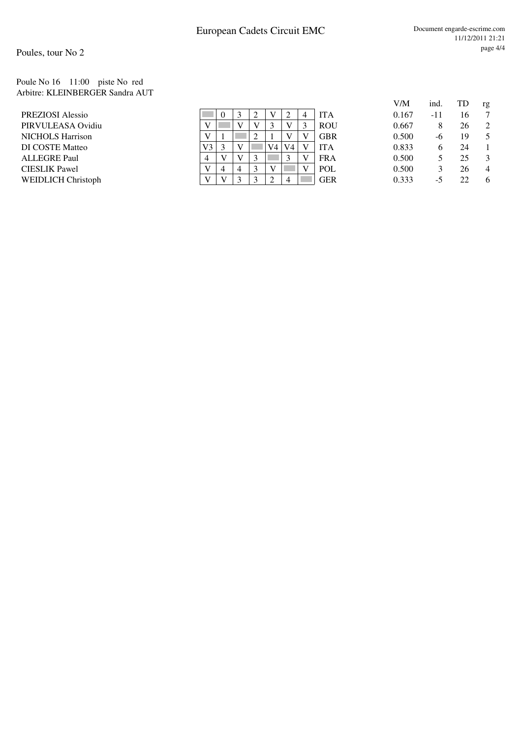#### Poule No 16 11:00 piste No red Arbitre: KLEINBERGER Sandra AUT

| <b>PREZIOSI</b> Alessio |
|-------------------------|
| PIRVULEASA Ovidiu       |
| <b>NICHOLS Harrison</b> |
| DI COSTE Matteo         |
| <b>ALLEGRE Paul</b>     |
| <b>CIESLIK</b> Pawel    |
| WEIDLICH Christoph      |

|                      |    |   |  |    |    |   |            |       |     |    | Ê |
|----------------------|----|---|--|----|----|---|------------|-------|-----|----|---|
| PREZIOSI Alessio     |    | 0 |  |    |    |   | <b>ITA</b> | 0.167 | -11 |    |   |
| PIRVULEASA Ovidiu    |    |   |  |    |    | ു | <b>ROU</b> | 0.667 |     | 26 |   |
| NICHOLS Harrison     |    |   |  |    |    |   | <b>GBR</b> | 0.500 | -0  |    |   |
| DI COSTE Matteo      | V3 |   |  | V4 | V4 |   | <b>ITA</b> | 0.833 |     | 24 |   |
| ALLEGRE Paul         |    |   |  |    |    |   | <b>FRA</b> | 0.500 |     |    |   |
| <b>CIESLIK Pawel</b> |    |   |  |    |    |   | <b>POL</b> | 0.500 |     | 26 |   |
| WEIDLICH Christoph   |    |   |  |    |    |   | <b>GER</b> | 0.333 | -   |    |   |

| 0.167<br>16<br>-11<br>26<br>0.667<br>8<br>0.500<br>19<br>-6<br>0.833<br>6<br>24<br>0.500<br>5<br>25<br>0.500<br>26<br>3 | ind. | TD | rg |
|-------------------------------------------------------------------------------------------------------------------------|------|----|----|
|                                                                                                                         |      |    | 7  |
|                                                                                                                         |      |    | 2  |
|                                                                                                                         |      |    | 5  |
|                                                                                                                         |      |    | 1  |
|                                                                                                                         |      |    | 3  |
|                                                                                                                         |      |    | 4  |
| 0.333<br>22<br>$-5$                                                                                                     |      |    | 6  |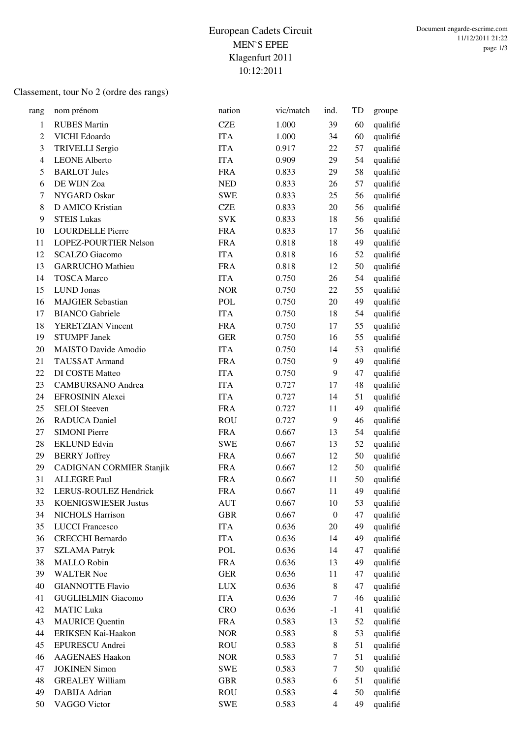### Classement, tour No 2 (ordre des rangs)

| rang           | nom prénom                      | nation     | vic/match | ind.             | TD | groupe   |
|----------------|---------------------------------|------------|-----------|------------------|----|----------|
| $\mathbf{1}$   | <b>RUBES Martin</b>             | <b>CZE</b> | 1.000     | 39               | 60 | qualifié |
| $\overline{2}$ | VICHI Edoardo                   | <b>ITA</b> | 1.000     | 34               | 60 | qualifié |
| 3              | <b>TRIVELLI Sergio</b>          | <b>ITA</b> | 0.917     | 22               | 57 | qualifié |
| $\overline{4}$ | <b>LEONE Alberto</b>            | <b>ITA</b> | 0.909     | 29               | 54 | qualifié |
| 5              | <b>BARLOT Jules</b>             | <b>FRA</b> | 0.833     | 29               | 58 | qualifié |
| 6              | DE WIJN Zoa                     | <b>NED</b> | 0.833     | 26               | 57 | qualifié |
| 7              | NYGARD Oskar                    | <b>SWE</b> | 0.833     | 25               | 56 | qualifié |
| 8              | D AMICO Kristian                | <b>CZE</b> | 0.833     | 20               | 56 | qualifié |
| 9              | <b>STEIS Lukas</b>              | <b>SVK</b> | 0.833     | 18               | 56 | qualifié |
| 10             | <b>LOURDELLE Pierre</b>         | <b>FRA</b> | 0.833     | 17               | 56 | qualifié |
| 11             | LOPEZ-POURTIER Nelson           | <b>FRA</b> | 0.818     | 18               | 49 | qualifié |
| 12             | <b>SCALZO</b> Giacomo           | <b>ITA</b> | 0.818     | 16               | 52 | qualifié |
| 13             | <b>GARRUCHO</b> Mathieu         | <b>FRA</b> | 0.818     | 12               | 50 | qualifié |
| 14             | <b>TOSCA Marco</b>              | <b>ITA</b> | 0.750     | 26               | 54 | qualifié |
| 15             | <b>LUND</b> Jonas               | <b>NOR</b> | 0.750     | 22               | 55 | qualifié |
| 16             | <b>MAJGIER Sebastian</b>        | <b>POL</b> | 0.750     | 20               | 49 | qualifié |
| 17             | <b>BIANCO</b> Gabriele          | <b>ITA</b> | 0.750     | 18               | 54 | qualifié |
| 18             | <b>YERETZIAN Vincent</b>        | <b>FRA</b> | 0.750     | 17               | 55 | qualifié |
| 19             | <b>STUMPF Janek</b>             | <b>GER</b> | 0.750     | 16               | 55 | qualifié |
| 20             | <b>MAISTO Davide Amodio</b>     | <b>ITA</b> | 0.750     | 14               | 53 | qualifié |
| 21             | <b>TAUSSAT Armand</b>           | <b>FRA</b> | 0.750     | 9                | 49 | qualifié |
| 22             | DI COSTE Matteo                 | <b>ITA</b> | 0.750     | 9                | 47 | qualifié |
| 23             | <b>CAMBURSANO</b> Andrea        | <b>ITA</b> | 0.727     | 17               | 48 | qualifié |
| 24             | EFROSININ Alexei                | <b>ITA</b> | 0.727     | 14               | 51 | qualifié |
| 25             | <b>SELOI</b> Steeven            | <b>FRA</b> | 0.727     | 11               | 49 | qualifié |
| 26             | <b>RADUCA Daniel</b>            | <b>ROU</b> | 0.727     | 9                | 46 | qualifié |
| 27             | <b>SIMONI Pierre</b>            | <b>FRA</b> | 0.667     | 13               | 54 | qualifié |
| 28             | <b>EKLUND Edvin</b>             | <b>SWE</b> | 0.667     | 13               | 52 | qualifié |
| 29             | <b>BERRY Joffrey</b>            | <b>FRA</b> | 0.667     | 12               | 50 | qualifié |
| 29             | <b>CADIGNAN CORMIER Stanjik</b> | <b>FRA</b> | 0.667     | 12               | 50 | qualifié |
| 31             | <b>ALLEGRE Paul</b>             | <b>FRA</b> | 0.667     | 11               | 50 | qualifié |
| 32             | LERUS-ROULEZ Hendrick           | <b>FRA</b> | 0.667     | 11               | 49 | qualifié |
| 33             | <b>KOENIGSWIESER Justus</b>     | <b>AUT</b> | 0.667     | 10               | 53 | qualifié |
| 34             | NICHOLS Harrison                | <b>GBR</b> | 0.667     | $\boldsymbol{0}$ | 47 | qualifié |
| 35             | <b>LUCCI</b> Francesco          | <b>ITA</b> | 0.636     | 20               | 49 | qualifié |
| 36             | <b>CRECCHI Bernardo</b>         | <b>ITA</b> | 0.636     | 14               | 49 | qualifié |
| 37             | <b>SZLAMA Patryk</b>            | POL        | 0.636     | 14               | 47 | qualifié |
| 38             | <b>MALLO Robin</b>              | <b>FRA</b> | 0.636     | 13               | 49 | qualifié |
| 39             | <b>WALTER Noe</b>               | <b>GER</b> | 0.636     | 11               | 47 | qualifié |
| 40             | <b>GIANNOTTE Flavio</b>         | <b>LUX</b> | 0.636     | 8                | 47 | qualifié |
| 41             | <b>GUGLIELMIN Giacomo</b>       | <b>ITA</b> | 0.636     | $\tau$           | 46 | qualifié |
| 42             | <b>MATIC Luka</b>               | <b>CRO</b> | 0.636     | $-1$             | 41 | qualifié |
| 43             | <b>MAURICE Quentin</b>          | <b>FRA</b> | 0.583     | 13               | 52 | qualifié |
| 44             | ERIKSEN Kai-Haakon              | <b>NOR</b> | 0.583     | 8                | 53 | qualifié |
| 45             | EPURESCU Andrei                 | <b>ROU</b> | 0.583     | $\,8\,$          | 51 | qualifié |
| 46             | <b>AAGENAES Haakon</b>          | <b>NOR</b> | 0.583     | $\tau$           | 51 | qualifié |
| 47             | <b>JOKINEN Simon</b>            | SWE        | 0.583     | $\tau$           | 50 | qualifié |
| 48             | <b>GREALEY William</b>          | <b>GBR</b> | 0.583     | 6                | 51 | qualifié |
| 49             | DABIJA Adrian                   | <b>ROU</b> | 0.583     | $\overline{4}$   | 50 | qualifié |
| 50             | VAGGO Victor                    | <b>SWE</b> | 0.583     | 4                | 49 | qualifié |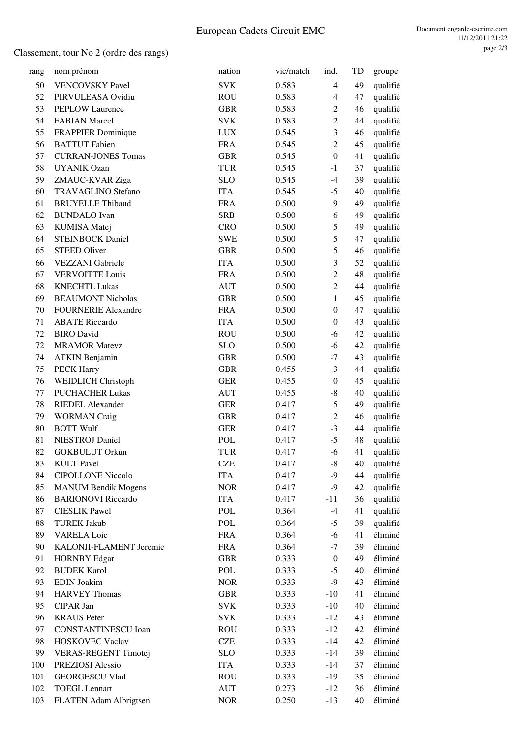### Classement, tour No 2 (ordre des rangs)

| rang | nom prénom                  | nation     | vic/match | ind.             | TD | groupe   |
|------|-----------------------------|------------|-----------|------------------|----|----------|
| 50   | <b>VENCOVSKY Pavel</b>      | <b>SVK</b> | 0.583     | $\overline{4}$   | 49 | qualifié |
| 52   | PIRVULEASA Ovidiu           | <b>ROU</b> | 0.583     | $\overline{4}$   | 47 | qualifié |
| 53   | <b>PEPLOW Laurence</b>      | <b>GBR</b> | 0.583     | $\overline{2}$   | 46 | qualifié |
| 54   | <b>FABIAN Marcel</b>        | <b>SVK</b> | 0.583     | $\sqrt{2}$       | 44 | qualifié |
| 55   | FRAPPIER Dominique          | <b>LUX</b> | 0.545     | 3                | 46 | qualifié |
| 56   | <b>BATTUT</b> Fabien        | <b>FRA</b> | 0.545     | $\overline{2}$   | 45 | qualifié |
| 57   | <b>CURRAN-JONES Tomas</b>   | <b>GBR</b> | 0.545     | $\boldsymbol{0}$ | 41 | qualifié |
| 58   | <b>UYANIK Ozan</b>          | <b>TUR</b> | 0.545     | $-1$             | 37 | qualifié |
| 59   | ZMAUC-KVAR Ziga             | <b>SLO</b> | 0.545     | $-4$             | 39 | qualifié |
| 60   | <b>TRAVAGLINO Stefano</b>   | <b>ITA</b> | 0.545     | $-5$             | 40 | qualifié |
| 61   | <b>BRUYELLE Thibaud</b>     | <b>FRA</b> | 0.500     | 9                | 49 | qualifié |
|      |                             |            |           | 6                |    |          |
| 62   | <b>BUNDALO</b> Ivan         | <b>SRB</b> | 0.500     |                  | 49 | qualifié |
| 63   | <b>KUMISA</b> Matej         | <b>CRO</b> | 0.500     | 5                | 49 | qualifié |
| 64   | <b>STEINBOCK Daniel</b>     | <b>SWE</b> | 0.500     | 5                | 47 | qualifié |
| 65   | <b>STEED Oliver</b>         | <b>GBR</b> | 0.500     | 5                | 46 | qualifié |
| 66   | <b>VEZZANI</b> Gabriele     | <b>ITA</b> | 0.500     | 3                | 52 | qualifié |
| 67   | <b>VERVOITTE Louis</b>      | <b>FRA</b> | 0.500     | $\overline{2}$   | 48 | qualifié |
| 68   | <b>KNECHTL Lukas</b>        | <b>AUT</b> | 0.500     | $\overline{2}$   | 44 | qualifié |
| 69   | <b>BEAUMONT Nicholas</b>    | <b>GBR</b> | 0.500     | $\mathbf{1}$     | 45 | qualifié |
| 70   | <b>FOURNERIE Alexandre</b>  | <b>FRA</b> | 0.500     | $\boldsymbol{0}$ | 47 | qualifié |
| 71   | <b>ABATE Riccardo</b>       | <b>ITA</b> | 0.500     | $\boldsymbol{0}$ | 43 | qualifié |
| 72   | <b>BIRO</b> David           | <b>ROU</b> | 0.500     | $-6$             | 42 | qualifié |
| 72   | <b>MRAMOR Matevz</b>        | <b>SLO</b> | 0.500     | $-6$             | 42 | qualifié |
| 74   | <b>ATKIN Benjamin</b>       | <b>GBR</b> | 0.500     | $-7$             | 43 | qualifié |
| 75   | <b>PECK Harry</b>           | <b>GBR</b> | 0.455     | 3                | 44 | qualifié |
| 76   | <b>WEIDLICH Christoph</b>   | <b>GER</b> | 0.455     | $\boldsymbol{0}$ | 45 | qualifié |
| 77   | <b>PUCHACHER Lukas</b>      | <b>AUT</b> | 0.455     | $-8$             | 40 | qualifié |
| 78   | RIEDEL Alexander            | <b>GER</b> | 0.417     | 5                | 49 | qualifié |
| 79   | <b>WORMAN</b> Craig         | <b>GBR</b> | 0.417     | $\overline{2}$   | 46 | qualifié |
| 80   | <b>BOTT Wulf</b>            | <b>GER</b> | 0.417     | $-3$             | 44 | qualifié |
| 81   | <b>NIESTROJ</b> Daniel      | POL        | 0.417     | $-5$             | 48 | qualifié |
| 82   | <b>GOKBULUT Orkun</b>       | <b>TUR</b> | 0.417     | $-6$             | 41 | qualifié |
| 83   | <b>KULT</b> Pavel           | <b>CZE</b> | 0.417     | $\mbox{-}8$      | 40 | qualifié |
| 84   | <b>CIPOLLONE Niccolo</b>    | <b>ITA</b> | 0.417     | $-9$             | 44 | qualifié |
| 85   | <b>MANUM Bendik Mogens</b>  | <b>NOR</b> | 0.417     | $-9$             | 42 | qualifié |
| 86   | <b>BARIONOVI Riccardo</b>   | <b>ITA</b> | 0.417     | $-11$            | 36 | qualifié |
| 87   | <b>CIESLIK Pawel</b>        | POL        | 0.364     | $-4$             | 41 | qualifié |
| 88   | <b>TUREK Jakub</b>          | POL        | 0.364     | $-5$             | 39 | qualifié |
| 89   | <b>VARELA Loic</b>          | <b>FRA</b> | 0.364     | $-6$             | 41 | éliminé  |
| 90   | KALONJI-FLAMENT Jeremie     | <b>FRA</b> | 0.364     | $-7$             | 39 | éliminé  |
| 91   |                             | <b>GBR</b> |           | $\boldsymbol{0}$ | 49 | éliminé  |
|      | <b>HORNBY Edgar</b>         |            | 0.333     |                  |    |          |
| 92   | <b>BUDEK Karol</b>          | POL        | 0.333     | $-5$             | 40 | éliminé  |
| 93   | <b>EDIN</b> Joakim          | <b>NOR</b> | 0.333     | $-9$             | 43 | éliminé  |
| 94   | <b>HARVEY Thomas</b>        | <b>GBR</b> | 0.333     | $-10$            | 41 | éliminé  |
| 95   | CIPAR Jan                   | <b>SVK</b> | 0.333     | $-10$            | 40 | éliminé  |
| 96   | <b>KRAUS</b> Peter          | <b>SVK</b> | 0.333     | $-12$            | 43 | éliminé  |
| 97   | <b>CONSTANTINESCU Ioan</b>  | <b>ROU</b> | 0.333     | $-12$            | 42 | éliminé  |
| 98   | <b>HOSKOVEC Vaclav</b>      | <b>CZE</b> | 0.333     | $-14$            | 42 | éliminé  |
| 99   | <b>VERAS-REGENT Timotej</b> | <b>SLO</b> | 0.333     | $-14$            | 39 | éliminé  |
| 100  | PREZIOSI Alessio            | <b>ITA</b> | 0.333     | $-14$            | 37 | éliminé  |
| 101  | <b>GEORGESCU Vlad</b>       | <b>ROU</b> | 0.333     | $-19$            | 35 | éliminé  |
| 102  | <b>TOEGL Lennart</b>        | <b>AUT</b> | 0.273     | $-12$            | 36 | éliminé  |
| 103  | FLATEN Adam Albrigtsen      | <b>NOR</b> | 0.250     | $-13$            | 40 | éliminé  |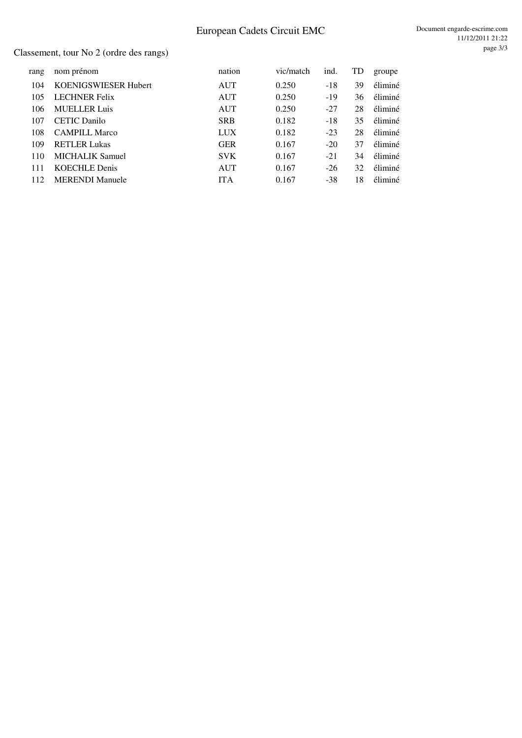# European Cadets Circuit EMC

### Classement, tour No 2 (ordre des rangs)

| rang | nom prénom                  | nation     | vic/match | ind.  | TD | groupe  |
|------|-----------------------------|------------|-----------|-------|----|---------|
| 104  | <b>KOENIGSWIESER Hubert</b> | AUT        | 0.250     | $-18$ | 39 | éliminé |
| 105  | <b>LECHNER Felix</b>        | <b>AUT</b> | 0.250     | $-19$ | 36 | éliminé |
| 106  | <b>MUELLER Luis</b>         | <b>AUT</b> | 0.250     | $-27$ | 28 | éliminé |
| 107  | <b>CETIC Danilo</b>         | <b>SRB</b> | 0.182     | $-18$ | 35 | éliminé |
| 108  | <b>CAMPILL Marco</b>        | <b>LUX</b> | 0.182     | $-23$ | 28 | éliminé |
| 109  | <b>RETLER Lukas</b>         | <b>GER</b> | 0.167     | $-20$ | 37 | éliminé |
| 110  | <b>MICHALIK Samuel</b>      | <b>SVK</b> | 0.167     | $-21$ | 34 | éliminé |
| 111  | <b>KOECHLE</b> Denis        | <b>AUT</b> | 0.167     | $-26$ | 32 | éliminé |
| 112  | <b>MERENDI Manuele</b>      | <b>ITA</b> | 0.167     | $-38$ | 18 | éliminé |
|      |                             |            |           |       |    |         |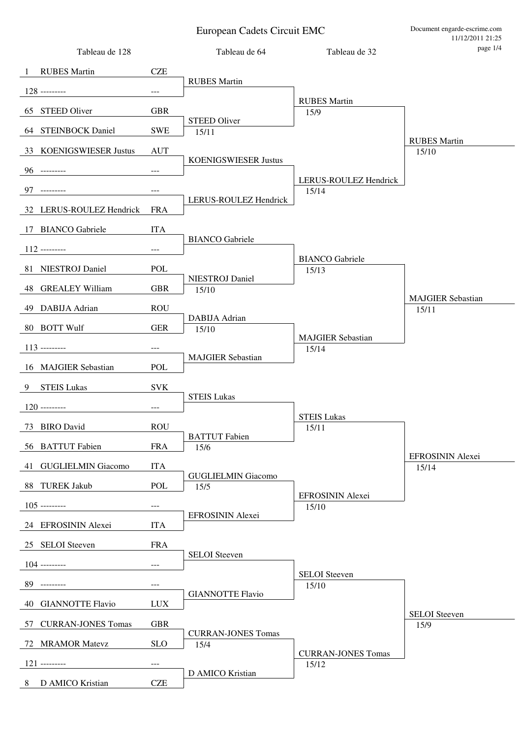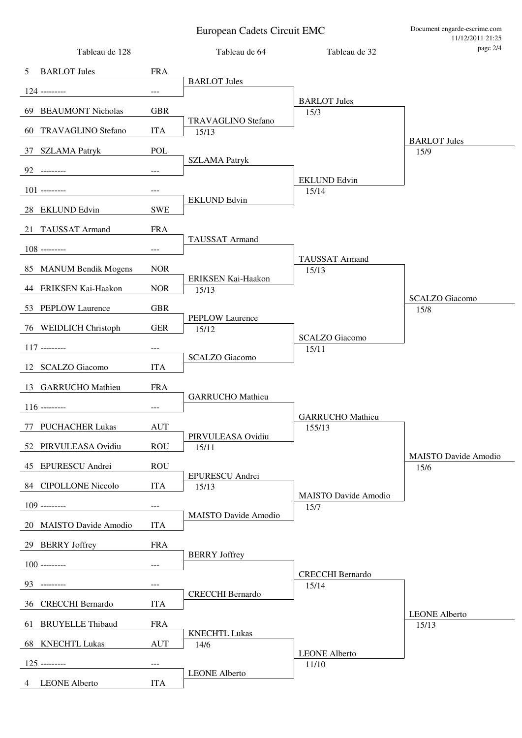| Tableau de 128            |            | Tableau de 64                      | Tableau de 32                       | page 214                            |
|---------------------------|------------|------------------------------------|-------------------------------------|-------------------------------------|
| <b>BARLOT Jules</b><br>5  | <b>FRA</b> |                                    |                                     |                                     |
| $124$ ---------           | ---        | <b>BARLOT Jules</b>                |                                     |                                     |
| 69 BEAUMONT Nicholas      | <b>GBR</b> |                                    | <b>BARLOT Jules</b><br>15/3         |                                     |
| 60 TRAVAGLINO Stefano     | <b>ITA</b> | <b>TRAVAGLINO Stefano</b><br>15/13 |                                     |                                     |
|                           |            |                                    |                                     | <b>BARLOT</b> Jules                 |
| 37 SZLAMA Patryk          | POL        | <b>SZLAMA Patryk</b>               |                                     | 15/9                                |
| 92 ---------              | ---        |                                    | <b>EKLUND Edvin</b>                 |                                     |
| $101$ ---------           | ---        | <b>EKLUND Edvin</b>                | 15/14                               |                                     |
| 28 EKLUND Edvin           | <b>SWE</b> |                                    |                                     |                                     |
| 21 TAUSSAT Armand         | <b>FRA</b> | <b>TAUSSAT Armand</b>              |                                     |                                     |
| $108$ --------            | $---$      |                                    |                                     |                                     |
| 85 MANUM Bendik Mogens    | <b>NOR</b> |                                    | <b>TAUSSAT Armand</b><br>15/13      |                                     |
| 44 ERIKSEN Kai-Haakon     | <b>NOR</b> | ERIKSEN Kai-Haakon<br>15/13        |                                     |                                     |
| 53 PEPLOW Laurence        | <b>GBR</b> |                                    |                                     | <b>SCALZO</b> Giacomo<br>15/8       |
| 76 WEIDLICH Christoph     | <b>GER</b> | <b>PEPLOW Laurence</b><br>15/12    |                                     |                                     |
|                           |            |                                    | <b>SCALZO</b> Giacomo               |                                     |
| $117$ ---------           | ---        | <b>SCALZO</b> Giacomo              | 15/11                               |                                     |
| 12 SCALZO Giacomo         | <b>ITA</b> |                                    |                                     |                                     |
| 13 GARRUCHO Mathieu       | <b>FRA</b> | <b>GARRUCHO</b> Mathieu            |                                     |                                     |
| $116$ ---------           | ---        |                                    | <b>GARRUCHO</b> Mathieu             |                                     |
| 77 PUCHACHER Lukas        | <b>AUT</b> | PIRVULEASA Ovidiu                  | 155/13                              |                                     |
| 52 PIRVULEASA Ovidiu      | <b>ROU</b> | 15/11                              |                                     |                                     |
| 45 EPURESCU Andrei        | <b>ROU</b> |                                    |                                     | <b>MAISTO Davide Amodio</b><br>15/6 |
| 84 CIPOLLONE Niccolo      | <b>ITA</b> | <b>EPURESCU Andrei</b><br>15/13    |                                     |                                     |
| $109$ ---------           | ---        |                                    | <b>MAISTO Davide Amodio</b><br>15/7 |                                     |
| 20 MAISTO Davide Amodio   | <b>ITA</b> | MAISTO Davide Amodio               |                                     |                                     |
| 29 BERRY Joffrey          | <b>FRA</b> |                                    |                                     |                                     |
| $100$ ---------           | $---$      | <b>BERRY</b> Joffrey               |                                     |                                     |
| 93 ---------              | ---        |                                    | <b>CRECCHI Bernardo</b><br>15/14    |                                     |
| 36 CRECCHI Bernardo       | <b>ITA</b> | <b>CRECCHI Bernardo</b>            |                                     |                                     |
| 61 BRUYELLE Thibaud       | <b>FRA</b> |                                    |                                     | <b>LEONE Alberto</b><br>15/13       |
| 68 KNECHTL Lukas          | <b>AUT</b> | <b>KNECHTL Lukas</b><br>14/6       |                                     |                                     |
| $125$ ---------           | $---$      |                                    | <b>LEONE Alberto</b>                |                                     |
|                           |            | <b>LEONE Alberto</b>               | 11/10                               |                                     |
| <b>LEONE Alberto</b><br>4 | <b>ITA</b> |                                    |                                     |                                     |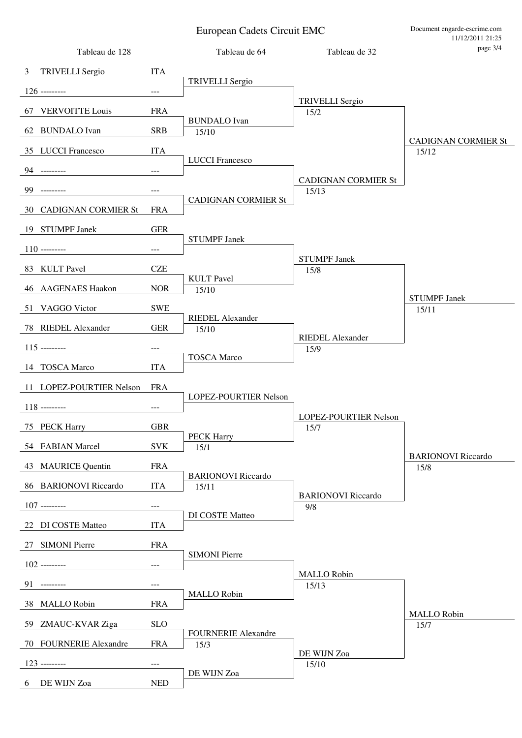| Tableau de 128           |                      | Tableau de 64              | Tableau de 32                    | $\mu$ agu $J/H$            |
|--------------------------|----------------------|----------------------------|----------------------------------|----------------------------|
| 3 TRIVELLI Sergio        | <b>ITA</b>           |                            |                                  |                            |
| $126$ ---------          | $---$                | <b>TRIVELLI Sergio</b>     |                                  |                            |
| 67 VERVOITTE Louis       | <b>FRA</b>           |                            | <b>TRIVELLI Sergio</b><br>15/2   |                            |
|                          |                      | <b>BUNDALO</b> Ivan        |                                  |                            |
| 62 BUNDALO Ivan          | <b>SRB</b>           | 15/10                      |                                  | <b>CADIGNAN CORMIER St</b> |
| 35 LUCCI Francesco       | <b>ITA</b>           | <b>LUCCI</b> Francesco     |                                  | 15/12                      |
| 94 ---------             | $\overline{a}$       |                            | <b>CADIGNAN CORMIER St</b>       |                            |
| 99 ---------             | $---$                |                            | 15/13                            |                            |
| 30 CADIGNAN CORMIER St   | <b>FRA</b>           | <b>CADIGNAN CORMIER St</b> |                                  |                            |
| 19 STUMPF Janek          | <b>GER</b>           |                            |                                  |                            |
| $110$ ---------          | $---$                | <b>STUMPF Janek</b>        |                                  |                            |
| 83 KULT Pavel            | <b>CZE</b>           |                            | <b>STUMPF Janek</b><br>15/8      |                            |
|                          |                      | <b>KULT</b> Pavel          |                                  |                            |
| 46 AAGENAES Haakon       | <b>NOR</b>           | 15/10                      |                                  | <b>STUMPF Janek</b>        |
| 51 VAGGO Victor          | <b>SWE</b>           | <b>RIEDEL Alexander</b>    |                                  | 15/11                      |
| 78 RIEDEL Alexander      | <b>GER</b>           | 15/10                      |                                  |                            |
| $115$ ---------          | $\hspace{0.05cm}---$ |                            | RIEDEL Alexander<br>15/9         |                            |
| 14 TOSCA Marco           | <b>ITA</b>           | <b>TOSCA</b> Marco         |                                  |                            |
| 11 LOPEZ-POURTIER Nelson | <b>FRA</b>           |                            |                                  |                            |
| $118$ ---------          | $---$                | LOPEZ-POURTIER Nelson      |                                  |                            |
|                          |                      |                            | LOPEZ-POURTIER Nelson            |                            |
| 75 PECK Harry            | <b>GBR</b>           | <b>PECK Harry</b>          | 15/7                             |                            |
| 54 FABIAN Marcel         | <b>SVK</b>           | 15/1                       |                                  | <b>BARIONOVI Riccardo</b>  |
| 43 MAURICE Quentin       | <b>FRA</b>           | <b>BARIONOVI Riccardo</b>  |                                  | 15/8                       |
| 86 BARIONOVI Riccardo    | <b>ITA</b>           | 15/11                      |                                  |                            |
| $107$ ---------          | $---$                |                            | <b>BARIONOVI Riccardo</b><br>9/8 |                            |
| 22 DI COSTE Matteo       | <b>ITA</b>           | DI COSTE Matteo            |                                  |                            |
| 27 SIMONI Pierre         | <b>FRA</b>           |                            |                                  |                            |
| $102$ ---------          | $\overline{a}$       | <b>SIMONI Pierre</b>       |                                  |                            |
| $91$ ---------           | $---$                |                            | <b>MALLO</b> Robin<br>15/13      |                            |
|                          |                      | <b>MALLO Robin</b>         |                                  |                            |
| 38 MALLO Robin           | <b>FRA</b>           |                            |                                  | <b>MALLO</b> Robin         |
| 59 ZMAUC-KVAR Ziga       | <b>SLO</b>           | <b>FOURNERIE Alexandre</b> |                                  | 15/7                       |
| 70 FOURNERIE Alexandre   | <b>FRA</b>           | 15/3                       | DE WIJN Zoa                      |                            |
| $123$ ----------         | $---$                |                            | 15/10                            |                            |
| DE WIJN Zoa<br>6         | <b>NED</b>           | DE WIJN Zoa                |                                  |                            |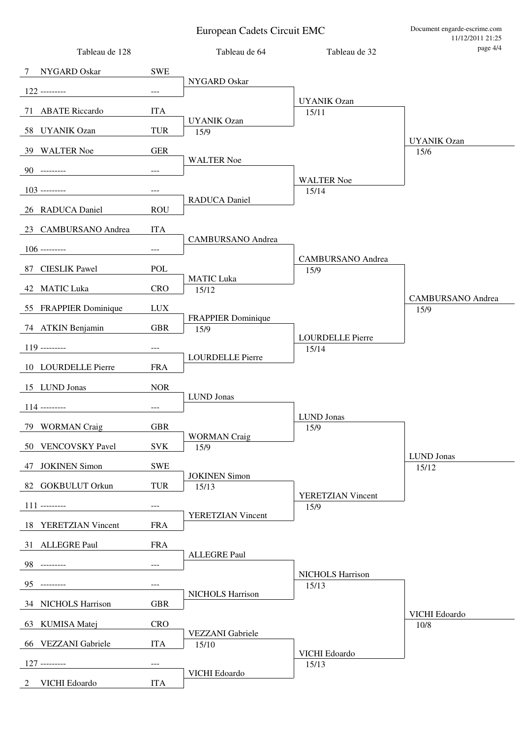| Tableau de 128        |                | Tableau de 64                 | Tableau de 32                    | $\mu$ agu $+n+$                  |
|-----------------------|----------------|-------------------------------|----------------------------------|----------------------------------|
| NYGARD Oskar<br>7     | <b>SWE</b>     |                               |                                  |                                  |
| $122$ ---------       | $---$          | NYGARD Oskar                  |                                  |                                  |
| 71 ABATE Riccardo     | <b>ITA</b>     |                               | <b>UYANIK Ozan</b><br>15/11      |                                  |
| 58 UYANIK Ozan        | <b>TUR</b>     | <b>UYANIK Ozan</b><br>15/9    |                                  |                                  |
|                       |                |                               |                                  | <b>UYANIK Ozan</b>               |
| 39 WALTER Noe         | <b>GER</b>     | <b>WALTER Noe</b>             |                                  | 15/6                             |
| 90 --------           | $-$            |                               | <b>WALTER Noe</b>                |                                  |
| $103$ ---------       | $ -$           | RADUCA Daniel                 | 15/14                            |                                  |
| 26 RADUCA Daniel      | <b>ROU</b>     |                               |                                  |                                  |
| 23 CAMBURSANO Andrea  | <b>ITA</b>     |                               |                                  |                                  |
| $106$ ---------       | $---$          | <b>CAMBURSANO</b> Andrea      |                                  |                                  |
| 87 CIESLIK Pawel      | POL            |                               | <b>CAMBURSANO</b> Andrea<br>15/9 |                                  |
| 42 MATIC Luka         | <b>CRO</b>     | <b>MATIC Luka</b><br>15/12    |                                  |                                  |
| 55 FRAPPIER Dominique | <b>LUX</b>     |                               |                                  | <b>CAMBURSANO</b> Andrea<br>15/9 |
| 74 ATKIN Benjamin     | <b>GBR</b>     | <b>FRAPPIER Dominique</b>     |                                  |                                  |
|                       |                | 15/9                          | <b>LOURDELLE Pierre</b>          |                                  |
| $119$ ---------       | $---$          | <b>LOURDELLE Pierre</b>       | 15/14                            |                                  |
| 10 LOURDELLE Pierre   | <b>FRA</b>     |                               |                                  |                                  |
| 15 LUND Jonas         | <b>NOR</b>     | <b>LUND</b> Jonas             |                                  |                                  |
| $114$ ---------       | $---$          |                               | <b>LUND</b> Jonas                |                                  |
| 79 WORMAN Craig       | <b>GBR</b>     |                               | 15/9                             |                                  |
| 50 VENCOVSKY Pavel    | <b>SVK</b>     | <b>WORMAN</b> Craig<br>15/9   |                                  |                                  |
| 47 JOKINEN Simon      | <b>SWE</b>     |                               |                                  | LUND Jonas<br>15/12              |
| 82 GOKBULUT Orkun     | <b>TUR</b>     | <b>JOKINEN</b> Simon<br>15/13 |                                  |                                  |
| $111$ ---------       | $---$          |                               | YERETZIAN Vincent                |                                  |
|                       |                | YERETZIAN Vincent             | 15/9                             |                                  |
| 18 YERETZIAN Vincent  | <b>FRA</b>     |                               |                                  |                                  |
| 31 ALLEGRE Paul       | <b>FRA</b>     | <b>ALLEGRE Paul</b>           |                                  |                                  |
| 98 ---------          | $\overline{a}$ |                               | <b>NICHOLS Harrison</b>          |                                  |
| 95 ---------          | $---$          | NICHOLS Harrison              | 15/13                            |                                  |
| 34 NICHOLS Harrison   | <b>GBR</b>     |                               |                                  |                                  |
| 63 KUMISA Matej       | <b>CRO</b>     |                               |                                  | VICHI Edoardo<br>10/8            |
| 66 VEZZANI Gabriele   | <b>ITA</b>     | VEZZANI Gabriele<br>15/10     |                                  |                                  |
| $127$ ---------       | $---$          |                               | VICHI Edoardo<br>15/13           |                                  |
| VICHI Edoardo<br>2    | <b>ITA</b>     | VICHI Edoardo                 |                                  |                                  |
|                       |                |                               |                                  |                                  |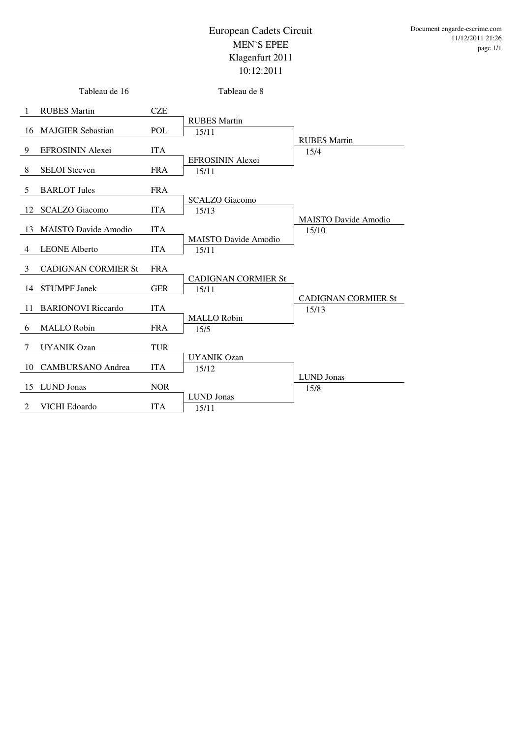|                | Tableau de 16               |            | Tableau de 8                         |                                      |
|----------------|-----------------------------|------------|--------------------------------------|--------------------------------------|
| 1              | <b>RUBES</b> Martin         | <b>CZE</b> |                                      |                                      |
| 16             | <b>MAJGIER Sebastian</b>    | POL        | <b>RUBES</b> Martin<br>15/11         |                                      |
| -9             | <b>EFROSININ Alexei</b>     | <b>ITA</b> |                                      | <b>RUBES Martin</b><br>15/4          |
| 8              | <b>SELOI</b> Steeven        | <b>FRA</b> | EFROSININ Alexei<br>15/11            |                                      |
| 5              | <b>BARLOT</b> Jules         | <b>FRA</b> |                                      |                                      |
| 12             | <b>SCALZO</b> Giacomo       | <b>ITA</b> | <b>SCALZO</b> Giacomo<br>15/13       |                                      |
| 13             | <b>MAISTO Davide Amodio</b> | <b>ITA</b> |                                      | <b>MAISTO Davide Amodio</b><br>15/10 |
| $\overline{4}$ | <b>LEONE Alberto</b>        | <b>ITA</b> | <b>MAISTO Davide Amodio</b><br>15/11 |                                      |
| 3              | <b>CADIGNAN CORMIER St</b>  | <b>FRA</b> |                                      |                                      |
| 14             | <b>STUMPF Janek</b>         | <b>GER</b> | <b>CADIGNAN CORMIER St</b><br>15/11  |                                      |
| 11             | <b>BARIONOVI Riccardo</b>   | <b>ITA</b> |                                      | <b>CADIGNAN CORMIER St</b><br>15/13  |
| 6              | <b>MALLO</b> Robin          | <b>FRA</b> | <b>MALLO</b> Robin<br>15/5           |                                      |
| 7              | <b>UYANIK Ozan</b>          | <b>TUR</b> |                                      |                                      |
| 10             | <b>CAMBURSANO Andrea</b>    | <b>ITA</b> | <b>UYANIK Ozan</b><br>15/12          |                                      |
| 15             | <b>LUND</b> Jonas           | <b>NOR</b> |                                      | <b>LUND</b> Jonas<br>15/8            |
| 2              | VICHI Edoardo               | <b>ITA</b> | <b>LUND</b> Jonas<br>15/11           |                                      |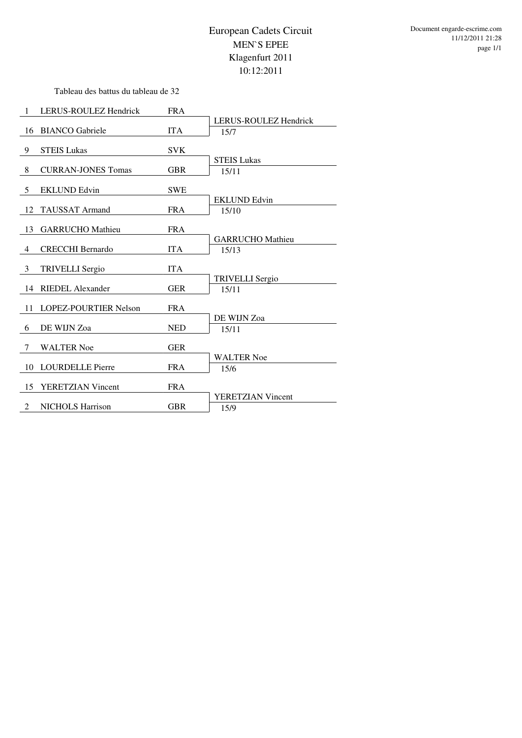Tableau des battus du tableau de 32

| $\mathbf{1}$<br>LERUS-ROULEZ Hendrick     | <b>FRA</b> |                              |
|-------------------------------------------|------------|------------------------------|
|                                           |            | <b>LERUS-ROULEZ Hendrick</b> |
| <b>BIANCO</b> Gabriele<br>16              | <b>ITA</b> | 15/7                         |
|                                           |            |                              |
| 9<br><b>STEIS Lukas</b>                   | <b>SVK</b> |                              |
|                                           |            | <b>STEIS Lukas</b>           |
| 8<br><b>CURRAN-JONES Tomas</b>            | <b>GBR</b> | 15/11                        |
|                                           |            |                              |
| 5<br><b>EKLUND Edvin</b>                  | <b>SWE</b> |                              |
|                                           |            | <b>EKLUND Edvin</b>          |
| 12<br><b>TAUSSAT Armand</b>               | <b>FRA</b> | 15/10                        |
|                                           |            |                              |
| 13<br><b>GARRUCHO</b> Mathieu             | <b>FRA</b> |                              |
|                                           |            | <b>GARRUCHO</b> Mathieu      |
| <b>CRECCHI Bernardo</b><br>$\overline{4}$ | <b>ITA</b> | 15/13                        |
|                                           |            |                              |
| 3<br><b>TRIVELLI Sergio</b>               | <b>ITA</b> |                              |
|                                           |            | <b>TRIVELLI Sergio</b>       |
| <b>RIEDEL Alexander</b><br>14             | <b>GER</b> | 15/11                        |
|                                           |            |                              |
| <b>LOPEZ-POURTIER Nelson</b><br>11        | <b>FRA</b> |                              |
|                                           |            | DE WIJN Zoa                  |
| DE WIJN Zoa<br>6                          | <b>NED</b> | 15/11                        |
|                                           |            |                              |
| 7<br><b>WALTER Noe</b>                    | <b>GER</b> |                              |
|                                           |            | <b>WALTER Noe</b>            |
| <b>LOURDELLE Pierre</b><br>10             | <b>FRA</b> | 15/6                         |
|                                           |            |                              |
| <b>YERETZIAN Vincent</b><br>15            | <b>FRA</b> |                              |
|                                           |            | <b>YERETZIAN Vincent</b>     |
| <b>NICHOLS Harrison</b><br>2              | <b>GBR</b> | 15/9                         |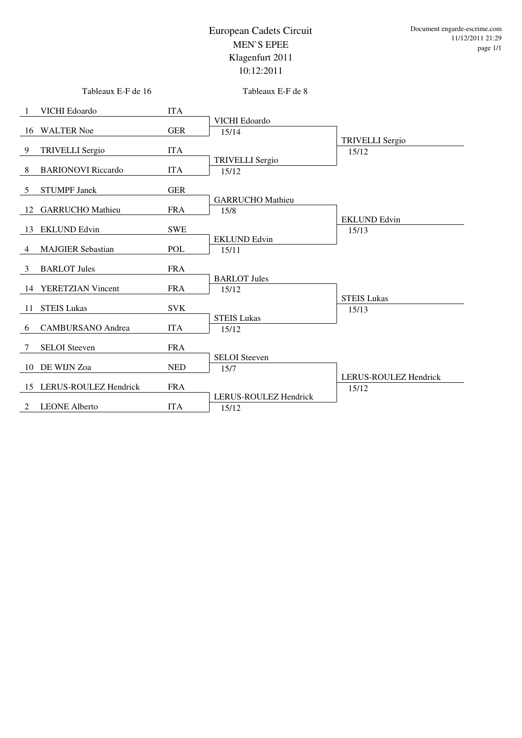|                | Tableaux E-F de 16        |            | Tableaux E-F de 8                     |                                 |
|----------------|---------------------------|------------|---------------------------------------|---------------------------------|
| -1             | <b>VICHI</b> Edoardo      | <b>ITA</b> |                                       |                                 |
| 16             | <b>WALTER Noe</b>         | <b>GER</b> | <b>VICHI</b> Edoardo<br>15/14         |                                 |
| 9              | <b>TRIVELLI Sergio</b>    | <b>ITA</b> |                                       | <b>TRIVELLI Sergio</b><br>15/12 |
| 8              | <b>BARIONOVI Riccardo</b> | <b>ITA</b> | <b>TRIVELLI Sergio</b><br>15/12       |                                 |
| 5              | <b>STUMPF Janek</b>       | <b>GER</b> |                                       |                                 |
|                | 12 GARRUCHO Mathieu       | <b>FRA</b> | <b>GARRUCHO</b> Mathieu<br>15/8       |                                 |
| 13             | <b>EKLUND Edvin</b>       | <b>SWE</b> |                                       | <b>EKLUND Edvin</b><br>15/13    |
| $\overline{4}$ | <b>MAJGIER Sebastian</b>  | POL        | <b>EKLUND Edvin</b><br>15/11          |                                 |
| 3              | <b>BARLOT Jules</b>       | <b>FRA</b> |                                       |                                 |
| 14             | YERETZIAN Vincent         | <b>FRA</b> | <b>BARLOT Jules</b><br>15/12          |                                 |
| 11             | <b>STEIS Lukas</b>        | <b>SVK</b> |                                       | <b>STEIS Lukas</b><br>15/13     |
| 6              | <b>CAMBURSANO</b> Andrea  | <b>ITA</b> | <b>STEIS Lukas</b><br>15/12           |                                 |
| 7              | <b>SELOI</b> Steeven      | <b>FRA</b> |                                       |                                 |
| 10             | DE WIJN Zoa               | <b>NED</b> | <b>SELOI</b> Steeven<br>15/7          |                                 |
|                | 15 LERUS-ROULEZ Hendrick  | <b>FRA</b> |                                       | LERUS-ROULEZ Hendrick<br>15/12  |
| 2              | <b>LEONE Alberto</b>      | <b>ITA</b> | <b>LERUS-ROULEZ Hendrick</b><br>15/12 |                                 |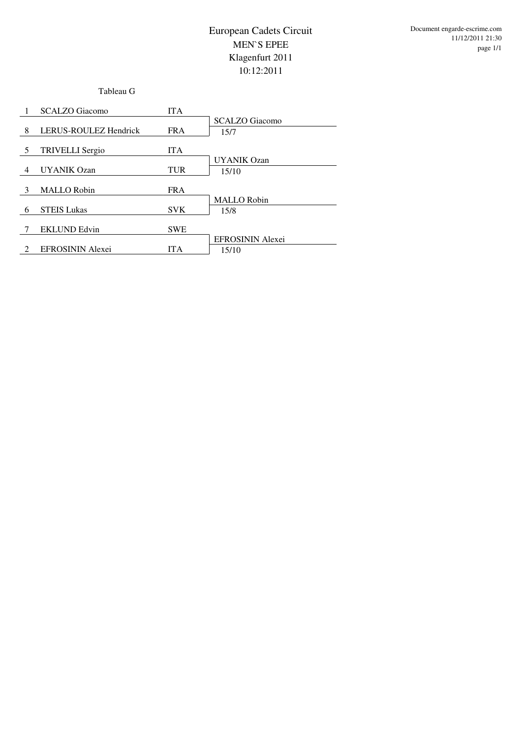Tableau G

|   | <b>SCALZO</b> Giacomo        | <b>ITA</b> |                               |
|---|------------------------------|------------|-------------------------------|
| 8 | <b>LERUS-ROULEZ Hendrick</b> | <b>FRA</b> | <b>SCALZO</b> Giacomo<br>15/7 |
| 5 | <b>TRIVELLI Sergio</b>       | <b>ITA</b> |                               |
|   |                              |            | <b>UYANIK Ozan</b>            |
| 4 | <b>UYANIK Ozan</b>           | <b>TUR</b> | 15/10                         |
|   |                              |            |                               |
| 3 | <b>MALLO</b> Robin           | <b>FRA</b> |                               |
|   |                              |            | <b>MALLO</b> Robin            |
| 6 | <b>STEIS Lukas</b>           | <b>SVK</b> | 15/8                          |
|   |                              |            |                               |
| 7 | <b>EKLUND</b> Edvin          | <b>SWE</b> |                               |
|   |                              |            | <b>EFROSININ Alexei</b>       |
| 2 | <b>EFROSININ Alexei</b>      | <b>ITA</b> | 15/10                         |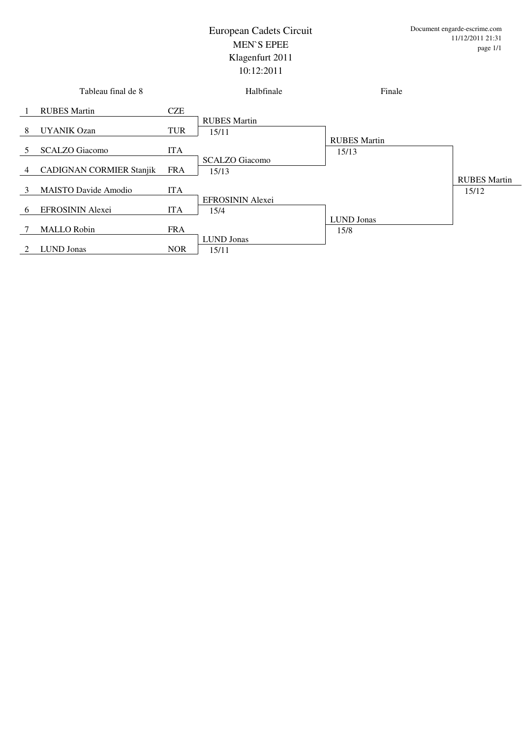|               | Tableau final de 8          |            | Halbfinale            | Finale              |                     |
|---------------|-----------------------------|------------|-----------------------|---------------------|---------------------|
| -1            | <b>RUBES Martin</b>         | CZE        |                       |                     |                     |
|               |                             |            | <b>RUBES</b> Martin   |                     |                     |
| 8             | <b>UYANIK Ozan</b>          | <b>TUR</b> | 15/11                 |                     |                     |
|               |                             |            |                       | <b>RUBES</b> Martin |                     |
| 5             | <b>SCALZO</b> Giacomo       | <b>ITA</b> |                       | 15/13               |                     |
|               |                             |            | <b>SCALZO</b> Giacomo |                     |                     |
| 4             | CADIGNAN CORMIER Stanjik    | <b>FRA</b> | 15/13                 |                     |                     |
|               |                             |            |                       |                     | <b>RUBES Martin</b> |
| 3             | <b>MAISTO Davide Amodio</b> | <b>ITA</b> |                       |                     | 15/12               |
|               |                             |            | EFROSININ Alexei      |                     |                     |
| -6            | <b>EFROSININ Alexei</b>     | <b>ITA</b> | 15/4                  |                     |                     |
|               |                             |            |                       | <b>LUND</b> Jonas   |                     |
|               | <b>MALLO Robin</b>          | <b>FRA</b> |                       | 15/8                |                     |
|               |                             |            | <b>LUND Jonas</b>     |                     |                     |
| $\mathcal{L}$ | <b>LUND</b> Jonas           | <b>NOR</b> | 15/11                 |                     |                     |
|               |                             |            |                       |                     |                     |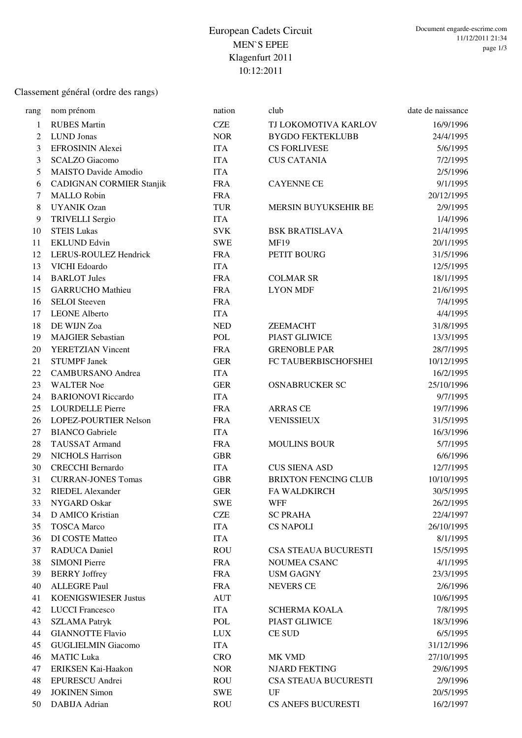Classement général (ordre des rangs)

| rang         | nom prénom                      | nation     | club                        | date de naissance |  |
|--------------|---------------------------------|------------|-----------------------------|-------------------|--|
| $\mathbf{1}$ | <b>RUBES Martin</b>             | CZE        | TJ LOKOMOTIVA KARLOV        | 16/9/1996         |  |
| 2            | <b>LUND Jonas</b>               | <b>NOR</b> | <b>BYGDO FEKTEKLUBB</b>     | 24/4/1995         |  |
| 3            | EFROSININ Alexei                | <b>ITA</b> | <b>CS FORLIVESE</b>         | 5/6/1995          |  |
| 3            | <b>SCALZO</b> Giacomo           | <b>ITA</b> | <b>CUS CATANIA</b>          | 7/2/1995          |  |
| 5            | <b>MAISTO Davide Amodio</b>     | <b>ITA</b> |                             | 2/5/1996          |  |
| 6            | <b>CADIGNAN CORMIER Stanjik</b> | <b>FRA</b> | <b>CAYENNE CE</b>           | 9/1/1995          |  |
| 7            | <b>MALLO Robin</b>              | <b>FRA</b> |                             | 20/12/1995        |  |
| 8            | <b>UYANIK Ozan</b>              | <b>TUR</b> | <b>MERSIN BUYUKSEHIR BE</b> | 2/9/1995          |  |
| 9            | <b>TRIVELLI Sergio</b>          | <b>ITA</b> |                             | 1/4/1996          |  |
| 10           | <b>STEIS Lukas</b>              | <b>SVK</b> | <b>BSK BRATISLAVA</b>       | 21/4/1995         |  |
| 11           | <b>EKLUND Edvin</b>             | <b>SWE</b> | <b>MF19</b>                 | 20/1/1995         |  |
| 12           | LERUS-ROULEZ Hendrick           | <b>FRA</b> | PETIT BOURG                 | 31/5/1996         |  |
| 13           | VICHI Edoardo                   | <b>ITA</b> |                             | 12/5/1995         |  |
| 14           | <b>BARLOT</b> Jules             | <b>FRA</b> | <b>COLMAR SR</b>            | 18/1/1995         |  |
| 15           | <b>GARRUCHO</b> Mathieu         | <b>FRA</b> | <b>LYON MDF</b>             | 21/6/1995         |  |
| 16           | <b>SELOI</b> Steeven            | <b>FRA</b> |                             | 7/4/1995          |  |
| 17           | <b>LEONE Alberto</b>            | <b>ITA</b> |                             | 4/4/1995          |  |
| 18           | DE WIJN Zoa                     | <b>NED</b> | <b>ZEEMACHT</b>             | 31/8/1995         |  |
| 19           | <b>MAJGIER Sebastian</b>        | <b>POL</b> | PIAST GLIWICE               | 13/3/1995         |  |
| 20           | <b>YERETZIAN Vincent</b>        | <b>FRA</b> | <b>GRENOBLE PAR</b>         | 28/7/1995         |  |
| 21           | <b>STUMPF Janek</b>             | <b>GER</b> | FC TAUBERBISCHOFSHEI        | 10/12/1995        |  |
| $22\,$       | <b>CAMBURSANO</b> Andrea        | <b>ITA</b> |                             | 16/2/1995         |  |
| 23           | <b>WALTER Noe</b>               | <b>GER</b> | <b>OSNABRUCKER SC</b>       | 25/10/1996        |  |
| 24           | <b>BARIONOVI Riccardo</b>       | <b>ITA</b> |                             | 9/7/1995          |  |
| 25           | <b>LOURDELLE Pierre</b>         | <b>FRA</b> | <b>ARRAS CE</b>             | 19/7/1996         |  |
| 26           | LOPEZ-POURTIER Nelson           | <b>FRA</b> | <b>VENISSIEUX</b>           | 31/5/1995         |  |
| 27           | <b>BIANCO</b> Gabriele          | <b>ITA</b> |                             | 16/3/1996         |  |
| 28           | <b>TAUSSAT Armand</b>           | <b>FRA</b> | <b>MOULINS BOUR</b>         | 5/7/1995          |  |
| 29           | NICHOLS Harrison                | <b>GBR</b> |                             | 6/6/1996          |  |
| 30           | <b>CRECCHI Bernardo</b>         | <b>ITA</b> | <b>CUS SIENA ASD</b>        | 12/7/1995         |  |
| 31           | <b>CURRAN-JONES Tomas</b>       | <b>GBR</b> | <b>BRIXTON FENCING CLUB</b> | 10/10/1995        |  |
| 32           | <b>RIEDEL Alexander</b>         | <b>GER</b> | FA WALDKIRCH                | 30/5/1995         |  |
| 33           | NYGARD Oskar                    | <b>SWE</b> | WFF                         | 26/2/1995         |  |
| 34           | D AMICO Kristian                | <b>CZE</b> | <b>SC PRAHA</b>             | 22/4/1997         |  |
| 35           | <b>TOSCA Marco</b>              | <b>ITA</b> | <b>CS NAPOLI</b>            | 26/10/1995        |  |
| 36           | DI COSTE Matteo                 | <b>ITA</b> |                             | 8/1/1995          |  |
| 37           | <b>RADUCA Daniel</b>            | <b>ROU</b> | <b>CSA STEAUA BUCURESTI</b> | 15/5/1995         |  |
| 38           | <b>SIMONI Pierre</b>            | <b>FRA</b> | NOUMEA CSANC                | 4/1/1995          |  |
| 39           | <b>BERRY</b> Joffrey            | <b>FRA</b> | <b>USM GAGNY</b>            | 23/3/1995         |  |
| 40           | <b>ALLEGRE Paul</b>             | <b>FRA</b> | <b>NEVERS CE</b>            | 2/6/1996          |  |
| 41           | <b>KOENIGSWIESER Justus</b>     | <b>AUT</b> |                             | 10/6/1995         |  |
| 42           | <b>LUCCI</b> Francesco          | <b>ITA</b> | <b>SCHERMA KOALA</b>        | 7/8/1995          |  |
| 43           | <b>SZLAMA Patryk</b>            | POL        | PIAST GLIWICE               | 18/3/1996         |  |
| 44           | <b>GIANNOTTE Flavio</b>         | <b>LUX</b> | <b>CE SUD</b>               | 6/5/1995          |  |
| 45           | <b>GUGLIELMIN Giacomo</b>       | <b>ITA</b> |                             | 31/12/1996        |  |
| 46           | <b>MATIC Luka</b>               | <b>CRO</b> | MK VMD                      | 27/10/1995        |  |
| 47           | ERIKSEN Kai-Haakon              | <b>NOR</b> | <b>NJARD FEKTING</b>        | 29/6/1995         |  |
| 48           | <b>EPURESCU Andrei</b>          | <b>ROU</b> | <b>CSA STEAUA BUCURESTI</b> | 2/9/1996          |  |
| 49           | <b>JOKINEN</b> Simon            | <b>SWE</b> | UF                          | 20/5/1995         |  |
| 50           | DABIJA Adrian                   | <b>ROU</b> | <b>CS ANEFS BUCURESTI</b>   | 16/2/1997         |  |
|              |                                 |            |                             |                   |  |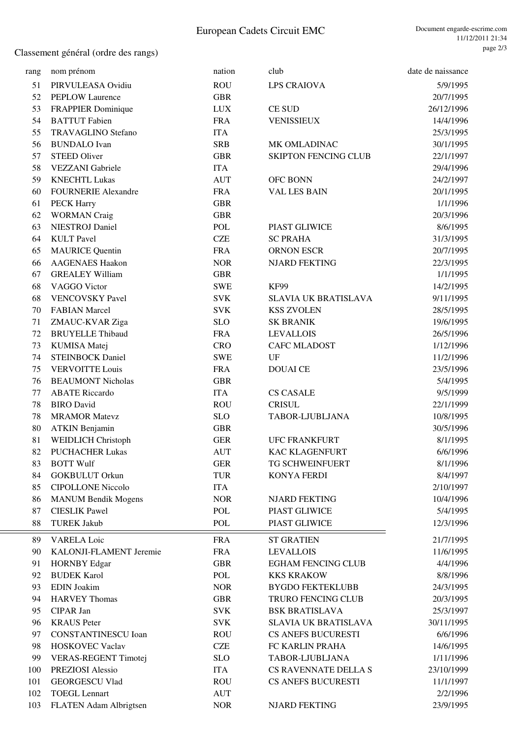# European Cadets Circuit EMC

Classement général (ordre des rangs)

Ė

| rang | nom prénom                  | nation             | club                        | date de naissance |
|------|-----------------------------|--------------------|-----------------------------|-------------------|
| 51   | PIRVULEASA Ovidiu           | <b>ROU</b>         | LPS CRAIOVA                 | 5/9/1995          |
| 52   | <b>PEPLOW Laurence</b>      | <b>GBR</b>         |                             | 20/7/1995         |
| 53   | FRAPPIER Dominique          | <b>LUX</b>         | <b>CE SUD</b>               | 26/12/1996        |
| 54   | <b>BATTUT</b> Fabien        | <b>FRA</b>         | <b>VENISSIEUX</b>           | 14/4/1996         |
| 55   | <b>TRAVAGLINO Stefano</b>   | <b>ITA</b>         |                             | 25/3/1995         |
| 56   | <b>BUNDALO</b> Ivan         | <b>SRB</b>         | MK OMLADINAC                | 30/1/1995         |
| 57   | <b>STEED Oliver</b>         | <b>GBR</b>         | <b>SKIPTON FENCING CLUB</b> | 22/1/1997         |
| 58   | <b>VEZZANI</b> Gabriele     | <b>ITA</b>         |                             | 29/4/1996         |
| 59   | <b>KNECHTL Lukas</b>        | $\mathop{\rm AUT}$ | OFC BONN                    | 24/2/1997         |
| 60   | <b>FOURNERIE Alexandre</b>  | <b>FRA</b>         | <b>VAL LES BAIN</b>         | 20/1/1995         |
| 61   | <b>PECK Harry</b>           | <b>GBR</b>         |                             | 1/1/1996          |
| 62   | <b>WORMAN Craig</b>         | <b>GBR</b>         |                             | 20/3/1996         |
| 63   | <b>NIESTROJ</b> Daniel      | POL                | PIAST GLIWICE               | 8/6/1995          |
|      | <b>KULT</b> Pavel           | <b>CZE</b>         | <b>SC PRAHA</b>             |                   |
| 64   |                             | <b>FRA</b>         | <b>ORNON ESCR</b>           | 31/3/1995         |
| 65   | <b>MAURICE Quentin</b>      |                    |                             | 20/7/1995         |
| 66   | <b>AAGENAES Haakon</b>      | <b>NOR</b>         | <b>NJARD FEKTING</b>        | 22/3/1995         |
| 67   | <b>GREALEY William</b>      | <b>GBR</b>         |                             | 1/1/1995          |
| 68   | VAGGO Victor                | <b>SWE</b>         | <b>KF99</b>                 | 14/2/1995         |
| 68   | <b>VENCOVSKY Pavel</b>      | <b>SVK</b>         | <b>SLAVIA UK BRATISLAVA</b> | 9/11/1995         |
| 70   | <b>FABIAN Marcel</b>        | <b>SVK</b>         | <b>KSS ZVOLEN</b>           | 28/5/1995         |
| 71   | ZMAUC-KVAR Ziga             | <b>SLO</b>         | <b>SK BRANIK</b>            | 19/6/1995         |
| 72   | <b>BRUYELLE Thibaud</b>     | <b>FRA</b>         | <b>LEVALLOIS</b>            | 26/5/1996         |
| 73   | <b>KUMISA</b> Matej         | <b>CRO</b>         | <b>CAFC MLADOST</b>         | 1/12/1996         |
| 74   | <b>STEINBOCK Daniel</b>     | <b>SWE</b>         | UF                          | 11/2/1996         |
| 75   | <b>VERVOITTE Louis</b>      | <b>FRA</b>         | <b>DOUAI CE</b>             | 23/5/1996         |
| 76   | <b>BEAUMONT Nicholas</b>    | <b>GBR</b>         |                             | 5/4/1995          |
| 77   | <b>ABATE Riccardo</b>       | <b>ITA</b>         | <b>CS CASALE</b>            | 9/5/1999          |
| 78   | <b>BIRO</b> David           | <b>ROU</b>         | <b>CRISUL</b>               | 22/1/1999         |
| 78   | <b>MRAMOR Matevz</b>        | <b>SLO</b>         | TABOR-LJUBLJANA             | 10/8/1995         |
| 80   | <b>ATKIN Benjamin</b>       | <b>GBR</b>         |                             | 30/5/1996         |
| 81   | <b>WEIDLICH Christoph</b>   | <b>GER</b>         | <b>UFC FRANKFURT</b>        | 8/1/1995          |
| 82   | <b>PUCHACHER Lukas</b>      | <b>AUT</b>         | <b>KAC KLAGENFURT</b>       | 6/6/1996          |
| 83   | <b>BOTT Wulf</b>            | <b>GER</b>         | TG SCHWEINFUERT             | 8/1/1996          |
| 84   | <b>GOKBULUT Orkun</b>       | <b>TUR</b>         | KONYA FERDI                 | 8/4/1997          |
| 85   | <b>CIPOLLONE Niccolo</b>    | <b>ITA</b>         |                             | 2/10/1997         |
| 86   | <b>MANUM Bendik Mogens</b>  | <b>NOR</b>         | <b>NJARD FEKTING</b>        | 10/4/1996         |
| 87   | <b>CIESLIK Pawel</b>        | <b>POL</b>         | PIAST GLIWICE               | 5/4/1995          |
| 88   | <b>TUREK Jakub</b>          | POL                | PIAST GLIWICE               | 12/3/1996         |
|      |                             |                    |                             |                   |
| 89   | <b>VARELA Loic</b>          | <b>FRA</b>         | <b>ST GRATIEN</b>           | 21/7/1995         |
| 90   | KALONJI-FLAMENT Jeremie     | <b>FRA</b>         | <b>LEVALLOIS</b>            | 11/6/1995         |
| 91   | <b>HORNBY Edgar</b>         | <b>GBR</b>         | <b>EGHAM FENCING CLUB</b>   | 4/4/1996          |
| 92   | <b>BUDEK Karol</b>          | <b>POL</b>         | <b>KKS KRAKOW</b>           | 8/8/1996          |
| 93   | EDIN Joakim                 | <b>NOR</b>         | <b>BYGDO FEKTEKLUBB</b>     | 24/3/1995         |
| 94   | <b>HARVEY Thomas</b>        | <b>GBR</b>         | TRURO FENCING CLUB          | 20/3/1995         |
| 95   | <b>CIPAR Jan</b>            | <b>SVK</b>         | <b>BSK BRATISLAVA</b>       | 25/3/1997         |
| 96   | <b>KRAUS</b> Peter          | <b>SVK</b>         | <b>SLAVIA UK BRATISLAVA</b> | 30/11/1995        |
| 97   | <b>CONSTANTINESCU Ioan</b>  | <b>ROU</b>         | CS ANEFS BUCURESTI          | 6/6/1996          |
| 98   | <b>HOSKOVEC Vaclav</b>      | <b>CZE</b>         | FC KARLIN PRAHA             | 14/6/1995         |
| 99   | <b>VERAS-REGENT Timotej</b> | <b>SLO</b>         | TABOR-LJUBLJANA             | 1/11/1996         |
| 100  | PREZIOSI Alessio            | <b>ITA</b>         | CS RAVENNATE DELLA S        | 23/10/1999        |
| 101  | <b>GEORGESCU Vlad</b>       | <b>ROU</b>         | CS ANEFS BUCURESTI          | 11/1/1997         |
| 102  | <b>TOEGL Lennart</b>        | <b>AUT</b>         |                             | 2/2/1996          |
| 103  | FLATEN Adam Albrigtsen      | <b>NOR</b>         | <b>NJARD FEKTING</b>        | 23/9/1995         |
|      |                             |                    |                             |                   |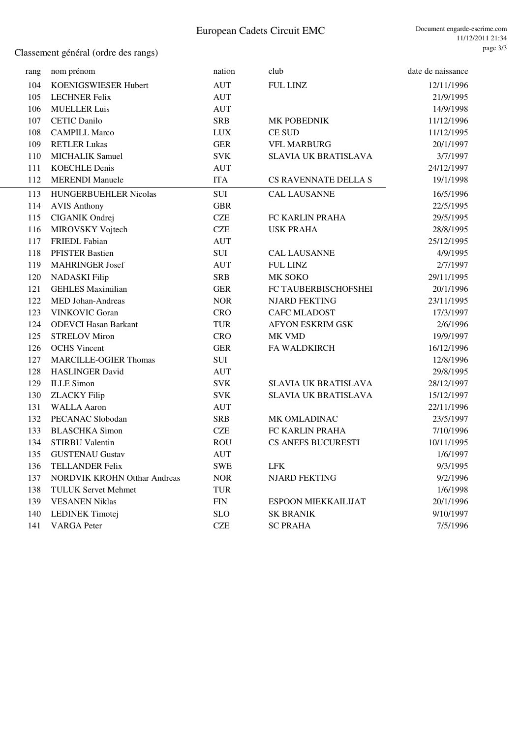|  | Classement général (ordre des rangs) |
|--|--------------------------------------|
|--|--------------------------------------|

| rang | nom prénom                          | nation     | club                        | date de naissance |
|------|-------------------------------------|------------|-----------------------------|-------------------|
| 104  | KOENIGSWIESER Hubert                | <b>AUT</b> | <b>FUL LINZ</b>             | 12/11/1996        |
| 105  | <b>LECHNER Felix</b>                | <b>AUT</b> |                             | 21/9/1995         |
| 106  | <b>MUELLER Luis</b>                 | <b>AUT</b> |                             | 14/9/1998         |
| 107  | <b>CETIC Danilo</b>                 | <b>SRB</b> | MK POBEDNIK                 | 11/12/1996        |
| 108  | <b>CAMPILL Marco</b>                | <b>LUX</b> | <b>CE SUD</b>               | 11/12/1995        |
| 109  | <b>RETLER Lukas</b>                 | <b>GER</b> | <b>VFL MARBURG</b>          | 20/1/1997         |
| 110  | <b>MICHALIK Samuel</b>              | <b>SVK</b> | <b>SLAVIA UK BRATISLAVA</b> | 3/7/1997          |
| 111  | <b>KOECHLE Denis</b>                | <b>AUT</b> |                             | 24/12/1997        |
| 112  | <b>MERENDI Manuele</b>              | <b>ITA</b> | CS RAVENNATE DELLA S        | 19/1/1998         |
| 113  | <b>HUNGERBUEHLER Nicolas</b>        | SUI        | <b>CAL LAUSANNE</b>         | 16/5/1996         |
| 114  | <b>AVIS Anthony</b>                 | <b>GBR</b> |                             | 22/5/1995         |
| 115  | CIGANIK Ondrej                      | <b>CZE</b> | FC KARLIN PRAHA             | 29/5/1995         |
| 116  | MIROVSKY Vojtech                    | <b>CZE</b> | <b>USK PRAHA</b>            | 28/8/1995         |
| 117  | FRIEDL Fabian                       | <b>AUT</b> |                             | 25/12/1995        |
| 118  | <b>PFISTER Bastien</b>              | SUI        | <b>CAL LAUSANNE</b>         | 4/9/1995          |
| 119  | <b>MAHRINGER Josef</b>              | <b>AUT</b> | <b>FUL LINZ</b>             | 2/7/1997          |
| 120  | <b>NADASKI</b> Filip                | <b>SRB</b> | MK SOKO                     | 29/11/1995        |
| 121  | <b>GEHLES Maximilian</b>            | <b>GER</b> | FC TAUBERBISCHOFSHEI        | 20/1/1996         |
| 122  | <b>MED Johan-Andreas</b>            | <b>NOR</b> | <b>NJARD FEKTING</b>        | 23/11/1995        |
| 123  | <b>VINKOVIC Goran</b>               | <b>CRO</b> | <b>CAFC MLADOST</b>         | 17/3/1997         |
| 124  | <b>ODEVCI Hasan Barkant</b>         | <b>TUR</b> | <b>AFYON ESKRIM GSK</b>     | 2/6/1996          |
| 125  | <b>STRELOV Miron</b>                | <b>CRO</b> | MK VMD                      | 19/9/1997         |
| 126  | <b>OCHS</b> Vincent                 | <b>GER</b> | FA WALDKIRCH                | 16/12/1996        |
| 127  | <b>MARCILLE-OGIER Thomas</b>        | SUI        |                             | 12/8/1996         |
| 128  | <b>HASLINGER David</b>              | <b>AUT</b> |                             | 29/8/1995         |
| 129  | <b>ILLE</b> Simon                   | <b>SVK</b> | <b>SLAVIA UK BRATISLAVA</b> | 28/12/1997        |
| 130  | <b>ZLACKY Filip</b>                 | <b>SVK</b> | <b>SLAVIA UK BRATISLAVA</b> | 15/12/1997        |
| 131  | <b>WALLA Aaron</b>                  | <b>AUT</b> |                             | 22/11/1996        |
| 132  | PECANAC Slobodan                    | <b>SRB</b> | MK OMLADINAC                | 23/5/1997         |
| 133  | <b>BLASCHKA</b> Simon               | <b>CZE</b> | FC KARLIN PRAHA             | 7/10/1996         |
| 134  | <b>STIRBU Valentin</b>              | <b>ROU</b> | <b>CS ANEFS BUCURESTI</b>   | 10/11/1995        |
| 135  | <b>GUSTENAU Gustav</b>              | <b>AUT</b> |                             | 1/6/1997          |
| 136  | <b>TELLANDER Felix</b>              | <b>SWE</b> | <b>LFK</b>                  | 9/3/1995          |
| 137  | <b>NORDVIK KROHN Otthar Andreas</b> | <b>NOR</b> | <b>NJARD FEKTING</b>        | 9/2/1996          |
| 138  | <b>TULUK Servet Mehmet</b>          | <b>TUR</b> |                             | 1/6/1998          |
| 139  | <b>VESANEN Niklas</b>               | <b>FIN</b> | ESPOON MIEKKAILIJAT         | 20/1/1996         |
| 140  | LEDINEK Timotej                     | <b>SLO</b> | <b>SK BRANIK</b>            | 9/10/1997         |
| 141  | <b>VARGA</b> Peter                  | <b>CZE</b> | <b>SC PRAHA</b>             | 7/5/1996          |
|      |                                     |            |                             |                   |